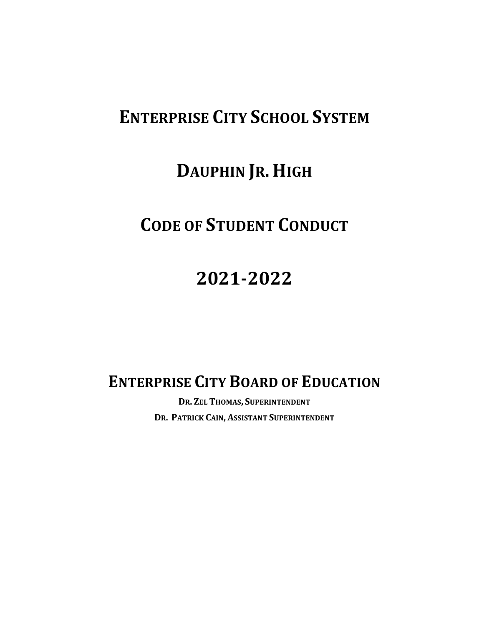# **ENTERPRISE CITY SCHOOL SYSTEM**

## **DAUPHIN JR. HIGH**

## **CODE OF STUDENT CONDUCT**

# **2021-2022**

**ENTERPRISE CITY BOARD OF EDUCATION** 

**DR. ZEL THOMAS, SUPERINTENDENT DR. PATRICK CAIN, ASSISTANT SUPERINTENDENT**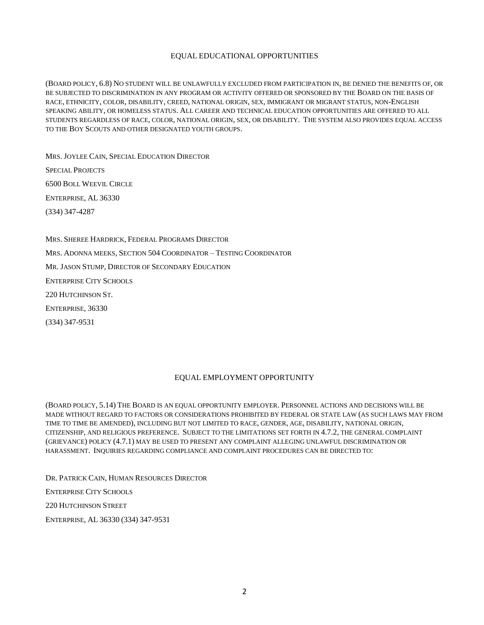#### EQUAL EDUCATIONAL OPPORTUNITIES

(BOARD POLICY, 6.8) NO STUDENT WILL BE UNLAWFULLY EXCLUDED FROM PARTICIPATION IN, BE DENIED THE BENEFITS OF, OR BE SUBJECTED TO DISCRIMINATION IN ANY PROGRAM OR ACTIVITY OFFERED OR SPONSORED BY THE BOARD ON THE BASIS OF RACE, ETHNICITY, COLOR, DISABILITY, CREED, NATIONAL ORIGIN, SEX, IMMIGRANT OR MIGRANT STATUS, NON-ENGLISH SPEAKING ABILITY, OR HOMELESS STATUS. ALL CAREER AND TECHNICAL EDUCATION OPPORTUNITIES ARE OFFERED TO ALL STUDENTS REGARDLESS OF RACE, COLOR, NATIONAL ORIGIN, SEX, OR DISABILITY. THE SYSTEM ALSO PROVIDES EQUAL ACCESS TO THE BOY SCOUTS AND OTHER DESIGNATED YOUTH GROUPS.

MRS. JOYLEE CAIN, SPECIAL EDUCATION DIRECTOR SPECIAL PROJECTS 6500 BOLL WEEVIL CIRCLE ENTERPRISE, AL 36330 (334) 347-4287

MRS. SHEREE HARDRICK, FEDERAL PROGRAMS DIRECTOR MRS. ADONNA MEEKS, SECTION 504 COORDINATOR – TESTING COORDINATOR MR. JASON STUMP, DIRECTOR OF SECONDARY EDUCATION ENTERPRISE CITY SCHOOLS 220 HUTCHINSON ST. ENTERPRISE, 36330 (334) 347-9531

#### EQUAL EMPLOYMENT OPPORTUNITY

(BOARD POLICY, 5.14) THE BOARD IS AN EQUAL OPPORTUNITY EMPLOYER. PERSONNEL ACTIONS AND DECISIONS WILL BE MADE WITHOUT REGARD TO FACTORS OR CONSIDERATIONS PROHIBITED BY FEDERAL OR STATE LAW (AS SUCH LAWS MAY FROM TIME TO TIME BE AMENDED), INCLUDING BUT NOT LIMITED TO RACE, GENDER, AGE, DISABILITY, NATIONAL ORIGIN, CITIZENSHIP, AND RELIGIOUS PREFERENCE. SUBJECT TO THE LIMITATIONS SET FORTH IN 4.7.2, THE GENERAL COMPLAINT (GRIEVANCE) POLICY (4.7.1) MAY BE USED TO PRESENT ANY COMPLAINT ALLEGING UNLAWFUL DISCRIMINATION OR HARASSMENT. INQUIRIES REGARDING COMPLIANCE AND COMPLAINT PROCEDURES CAN BE DIRECTED TO:

DR. PATRICK CAIN, HUMAN RESOURCES DIRECTOR ENTERPRISE CITY SCHOOLS 220 HUTCHINSON STREET ENTERPRISE, AL 36330 (334) 347-9531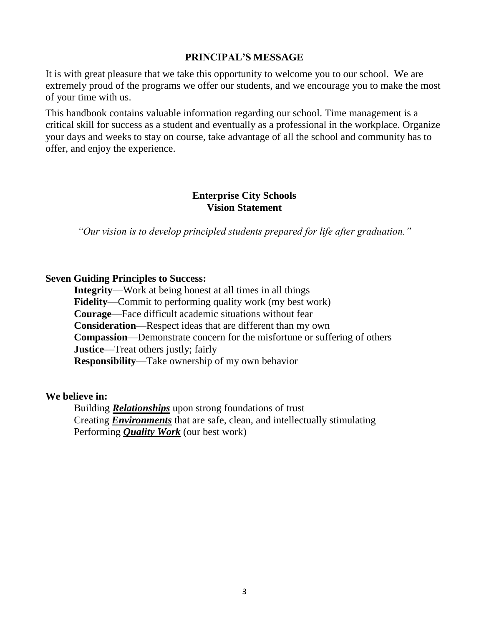## **PRINCIPAL'S MESSAGE**

It is with great pleasure that we take this opportunity to welcome you to our school. We are extremely proud of the programs we offer our students, and we encourage you to make the most of your time with us.

This handbook contains valuable information regarding our school. Time management is a critical skill for success as a student and eventually as a professional in the workplace. Organize your days and weeks to stay on course, take advantage of all the school and community has to offer, and enjoy the experience.

## **Enterprise City Schools Vision Statement**

*"Our vision is to develop principled students prepared for life after graduation."*

## **Seven Guiding Principles to Success:**

**Integrity**—Work at being honest at all times in all things **Fidelity**—Commit to performing quality work (my best work) **Courage**—Face difficult academic situations without fear **Consideration**—Respect ideas that are different than my own **Compassion**—Demonstrate concern for the misfortune or suffering of others **Justice—Treat others justly; fairly Responsibility**—Take ownership of my own behavior

## **We believe in:**

Building *Relationships* upon strong foundations of trust Creating *Environments* that are safe, clean, and intellectually stimulating Performing *Quality Work* (our best work)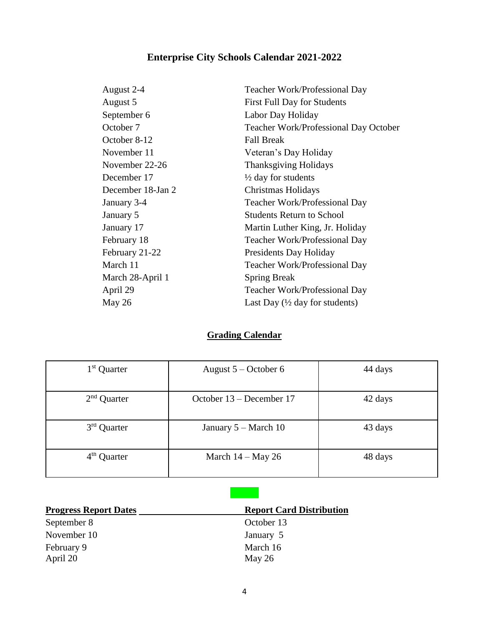## **Enterprise City Schools Calendar 2021-2022**

| August 2-4        | <b>Teacher Work/Professional Day</b>      |
|-------------------|-------------------------------------------|
| August 5          | <b>First Full Day for Students</b>        |
| September 6       | Labor Day Holiday                         |
| October 7         | Teacher Work/Professional Day October     |
| October 8-12      | <b>Fall Break</b>                         |
| November 11       | Veteran's Day Holiday                     |
| November 22-26    | <b>Thanksgiving Holidays</b>              |
| December 17       | $\frac{1}{2}$ day for students            |
| December 18-Jan 2 | Christmas Holidays                        |
| January 3-4       | Teacher Work/Professional Day             |
| January 5         | <b>Students Return to School</b>          |
| January 17        | Martin Luther King, Jr. Holiday           |
| February 18       | Teacher Work/Professional Day             |
| February 21-22    | Presidents Day Holiday                    |
| March 11          | Teacher Work/Professional Day             |
| March 28-April 1  | <b>Spring Break</b>                       |
| April 29          | Teacher Work/Professional Day             |
| May 26            | Last Day $(\frac{1}{2}$ day for students) |
|                   |                                           |

## **Grading Calendar**

| 1 <sup>st</sup> Quarter | August $5 - October 6$   | 44 days |
|-------------------------|--------------------------|---------|
| $2nd$ Quarter           | October 13 – December 17 | 42 days |
| 3 <sup>rd</sup> Quarter | January $5 - March 10$   | 43 days |
| $4th$ Quarter           | March $14 -$ May 26      | 48 days |

<u>a s</u>

| <b>Progress Report Dates</b> | <b>Report Card Distribution</b> |  |
|------------------------------|---------------------------------|--|
| September 8                  | October 13                      |  |
| November 10                  | January 5                       |  |
| February 9                   | March 16                        |  |
| April 20                     | May $26$                        |  |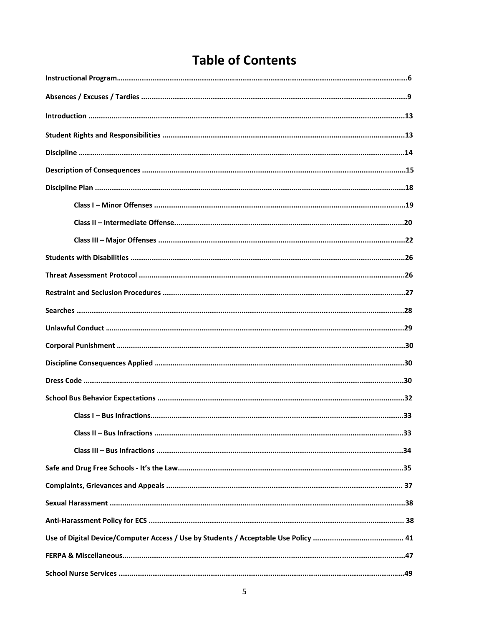## **Table of Contents**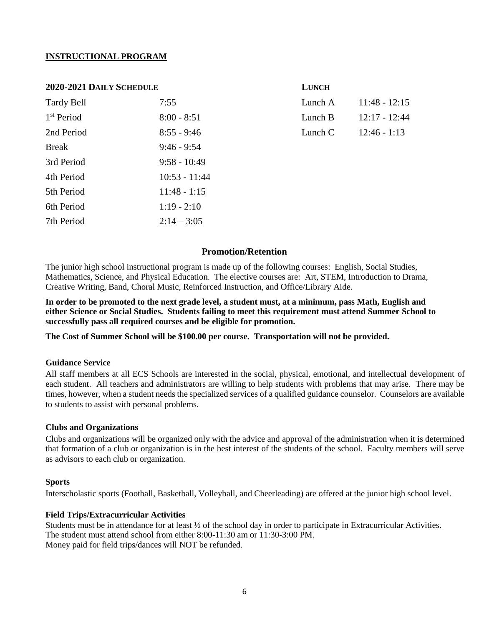#### **INSTRUCTIONAL PROGRAM**

#### **2020-2021 DAILY SCHEDULE LUNCH**

| <b>Tardy Bell</b>      | 7:55            | Lunch A | $11:48 - 12:15$ |
|------------------------|-----------------|---------|-----------------|
| 1 <sup>st</sup> Period | $8:00 - 8:51$   | Lunch B | $12:17 - 12:44$ |
| 2nd Period             | $8:55 - 9:46$   | Lunch C | $12:46 - 1:13$  |
| <b>Break</b>           | $9:46 - 9:54$   |         |                 |
| 3rd Period             | $9:58 - 10:49$  |         |                 |
| 4th Period             | $10:53 - 11:44$ |         |                 |
| 5th Period             | $11:48 - 1:15$  |         |                 |
| 6th Period             | $1:19 - 2:10$   |         |                 |
| 7th Period             | $2:14 - 3:05$   |         |                 |
|                        |                 |         |                 |

| ╲ |
|---|

| Lunch A | $11:48 - 12:15$ |
|---------|-----------------|
| Lunch B | $12:17 - 12:44$ |
| Lunch C | $12:46 - 1:13$  |

#### **Promotion/Retention**

The junior high school instructional program is made up of the following courses: English, Social Studies, Mathematics, Science, and Physical Education. The elective courses are: Art, STEM, Introduction to Drama, Creative Writing, Band, Choral Music, Reinforced Instruction, and Office/Library Aide.

**In order to be promoted to the next grade level, a student must, at a minimum, pass Math, English and either Science or Social Studies. Students failing to meet this requirement must attend Summer School to successfully pass all required courses and be eligible for promotion.**

**The Cost of Summer School will be \$100.00 per course. Transportation will not be provided.**

#### **Guidance Service**

All staff members at all ECS Schools are interested in the social, physical, emotional, and intellectual development of each student. All teachers and administrators are willing to help students with problems that may arise. There may be times, however, when a student needs the specialized services of a qualified guidance counselor. Counselors are available to students to assist with personal problems.

#### **Clubs and Organizations**

Clubs and organizations will be organized only with the advice and approval of the administration when it is determined that formation of a club or organization is in the best interest of the students of the school. Faculty members will serve as advisors to each club or organization.

#### **Sports**

Interscholastic sports (Football, Basketball, Volleyball, and Cheerleading) are offered at the junior high school level.

#### **Field Trips/Extracurricular Activities**

Students must be in attendance for at least  $\frac{1}{2}$  of the school day in order to participate in Extracurricular Activities. The student must attend school from either 8:00-11:30 am or 11:30-3:00 PM. Money paid for field trips/dances will NOT be refunded.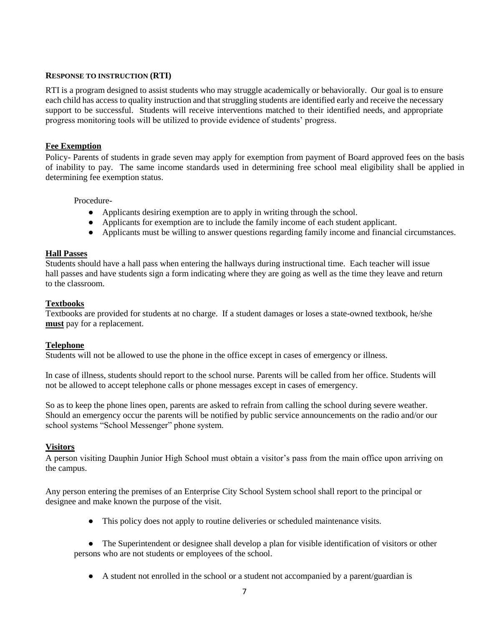#### **RESPONSE TO INSTRUCTION (RTI)**

RTI is a program designed to assist students who may struggle academically or behaviorally. Our goal is to ensure each child has access to quality instruction and that struggling students are identified early and receive the necessary support to be successful. Students will receive interventions matched to their identified needs, and appropriate progress monitoring tools will be utilized to provide evidence of students' progress.

#### **Fee Exemption**

Policy- Parents of students in grade seven may apply for exemption from payment of Board approved fees on the basis of inability to pay. The same income standards used in determining free school meal eligibility shall be applied in determining fee exemption status.

Procedure-

- Applicants desiring exemption are to apply in writing through the school.
- Applicants for exemption are to include the family income of each student applicant.
- Applicants must be willing to answer questions regarding family income and financial circumstances.

#### **Hall Passes**

Students should have a hall pass when entering the hallways during instructional time. Each teacher will issue hall passes and have students sign a form indicating where they are going as well as the time they leave and return to the classroom.

#### **Textbooks**

Textbooks are provided for students at no charge. If a student damages or loses a state-owned textbook, he/she **must** pay for a replacement.

#### **Telephone**

Students will not be allowed to use the phone in the office except in cases of emergency or illness.

In case of illness, students should report to the school nurse. Parents will be called from her office. Students will not be allowed to accept telephone calls or phone messages except in cases of emergency.

So as to keep the phone lines open, parents are asked to refrain from calling the school during severe weather. Should an emergency occur the parents will be notified by public service announcements on the radio and/or our school systems "School Messenger" phone system.

#### **Visitors**

A person visiting Dauphin Junior High School must obtain a visitor's pass from the main office upon arriving on the campus.

Any person entering the premises of an Enterprise City School System school shall report to the principal or designee and make known the purpose of the visit.

● This policy does not apply to routine deliveries or scheduled maintenance visits.

• The Superintendent or designee shall develop a plan for visible identification of visitors or other persons who are not students or employees of the school.

● A student not enrolled in the school or a student not accompanied by a parent/guardian is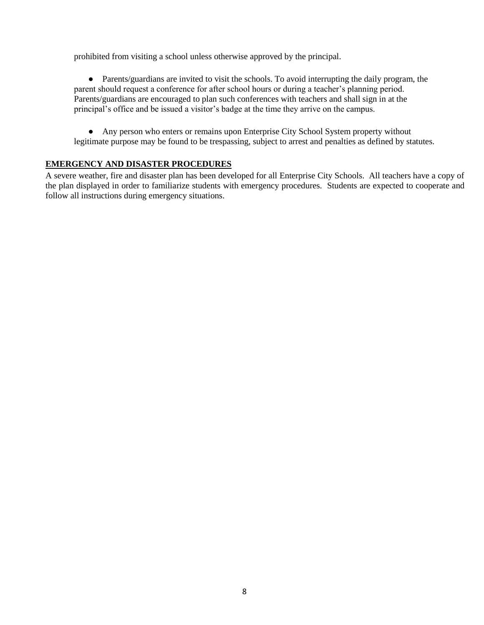prohibited from visiting a school unless otherwise approved by the principal.

● Parents/guardians are invited to visit the schools. To avoid interrupting the daily program, the parent should request a conference for after school hours or during a teacher's planning period. Parents/guardians are encouraged to plan such conferences with teachers and shall sign in at the principal's office and be issued a visitor's badge at the time they arrive on the campus.

• Any person who enters or remains upon Enterprise City School System property without legitimate purpose may be found to be trespassing, subject to arrest and penalties as defined by statutes.

#### **EMERGENCY AND DISASTER PROCEDURES**

A severe weather, fire and disaster plan has been developed for all Enterprise City Schools. All teachers have a copy of the plan displayed in order to familiarize students with emergency procedures. Students are expected to cooperate and follow all instructions during emergency situations.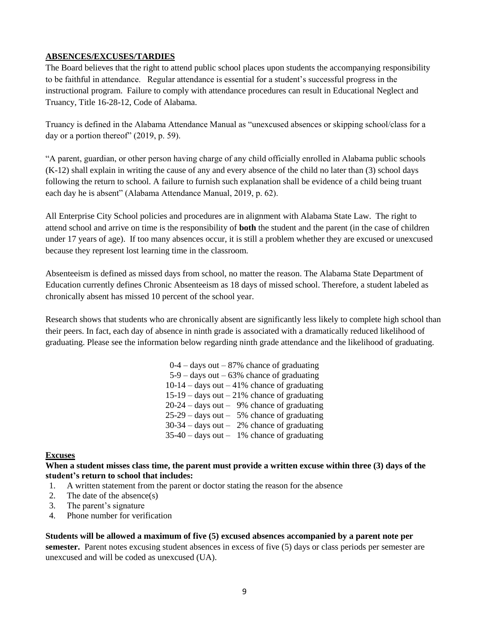#### **ABSENCES/EXCUSES/TARDIES**

The Board believes that the right to attend public school places upon students the accompanying responsibility to be faithful in attendance. Regular attendance is essential for a student's successful progress in the instructional program. Failure to comply with attendance procedures can result in Educational Neglect and Truancy, Title 16-28-12, Code of Alabama.

Truancy is defined in the Alabama Attendance Manual as "unexcused absences or skipping school/class for a day or a portion thereof" (2019, p. 59).

"A parent, guardian, or other person having charge of any child officially enrolled in Alabama public schools (K-12) shall explain in writing the cause of any and every absence of the child no later than (3) school days following the return to school. A failure to furnish such explanation shall be evidence of a child being truant each day he is absent" (Alabama Attendance Manual, 2019, p. 62).

All Enterprise City School policies and procedures are in alignment with Alabama State Law. The right to attend school and arrive on time is the responsibility of **both** the student and the parent (in the case of children under 17 years of age). If too many absences occur, it is still a problem whether they are excused or unexcused because they represent lost learning time in the classroom.

Absenteeism is defined as missed days from school, no matter the reason. The Alabama State Department of Education currently defines Chronic Absenteeism as 18 days of missed school. Therefore, a student labeled as chronically absent has missed 10 percent of the school year.

Research shows that students who are chronically absent are significantly less likely to complete high school than their peers. In fact, each day of absence in ninth grade is associated with a dramatically reduced likelihood of graduating. Please see the information below regarding ninth grade attendance and the likelihood of graduating.

> $0-4$  – days out – 87% chance of graduating  $5-9$  – days out – 63% chance of graduating  $10-14$  – days out – 41% chance of graduating  $15-19$  – days out – 21% chance of graduating  $20-24$  – days out – 9% chance of graduating  $25-29$  – days out – 5% chance of graduating  $30-34$  – days out – 2% chance of graduating  $35-40$  – days out – 1% chance of graduating

#### **Excuses**

**When a student misses class time, the parent must provide a written excuse within three (3) days of the student's return to school that includes:** 

- 1. A written statement from the parent or doctor stating the reason for the absence
- 2. The date of the absence(s)
- 3. The parent's signature
- 4. Phone number for verification

**Students will be allowed a maximum of five (5) excused absences accompanied by a parent note per** 

**semester.** Parent notes excusing student absences in excess of five (5) days or class periods per semester are unexcused and will be coded as unexcused (UA).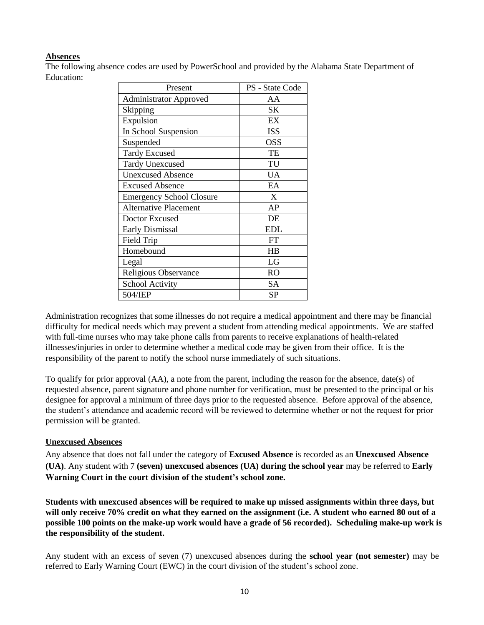#### **Absences**

The following absence codes are used by PowerSchool and provided by the Alabama State Department of Education:

| Present                         | PS - State Code |
|---------------------------------|-----------------|
| <b>Administrator Approved</b>   | AA              |
| Skipping                        | <b>SK</b>       |
| Expulsion                       | EX              |
| In School Suspension            | <b>ISS</b>      |
| Suspended                       | <b>OSS</b>      |
| <b>Tardy Excused</b>            | TE              |
| <b>Tardy Unexcused</b>          | TU              |
| <b>Unexcused Absence</b>        | UA              |
| <b>Excused Absence</b>          | EA              |
| <b>Emergency School Closure</b> | X               |
| <b>Alternative Placement</b>    | AP              |
| Doctor Excused                  | DE              |
| <b>Early Dismissal</b>          | <b>EDL</b>      |
| Field Trip                      | FT              |
| Homebound                       | HB              |
| Legal                           | LG              |
| <b>Religious Observance</b>     | RO              |
| <b>School Activity</b>          | SА              |
| 504/IEP                         | <b>SP</b>       |

Administration recognizes that some illnesses do not require a medical appointment and there may be financial difficulty for medical needs which may prevent a student from attending medical appointments. We are staffed with full-time nurses who may take phone calls from parents to receive explanations of health-related illnesses/injuries in order to determine whether a medical code may be given from their office. It is the responsibility of the parent to notify the school nurse immediately of such situations.

To qualify for prior approval (AA), a note from the parent, including the reason for the absence, date(s) of requested absence, parent signature and phone number for verification, must be presented to the principal or his designee for approval a minimum of three days prior to the requested absence. Before approval of the absence, the student's attendance and academic record will be reviewed to determine whether or not the request for prior permission will be granted.

#### **Unexcused Absences**

Any absence that does not fall under the category of **Excused Absence** is recorded as an **Unexcused Absence (UA)**. Any student with 7 **(seven) unexcused absences (UA) during the school year** may be referred to **Early Warning Court in the court division of the student's school zone.**

**Students with unexcused absences will be required to make up missed assignments within three days, but will only receive 70% credit on what they earned on the assignment (i.e. A student who earned 80 out of a possible 100 points on the make-up work would have a grade of 56 recorded). Scheduling make-up work is the responsibility of the student.**

Any student with an excess of seven (7) unexcused absences during the **school year (not semester)** may be referred to Early Warning Court (EWC) in the court division of the student's school zone.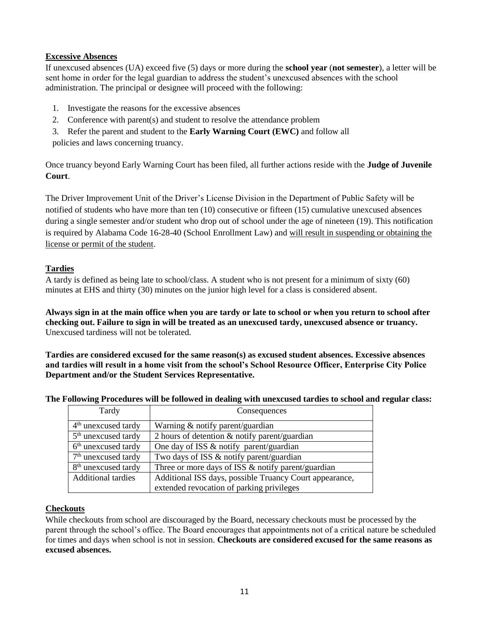#### **Excessive Absences**

If unexcused absences (UA) exceed five (5) days or more during the **school year** (**not semester**), a letter will be sent home in order for the legal guardian to address the student's unexcused absences with the school administration. The principal or designee will proceed with the following:

- 1. Investigate the reasons for the excessive absences
- 2. Conference with parent(s) and student to resolve the attendance problem
- 3. Refer the parent and student to the **Early Warning Court (EWC)** and follow all

policies and laws concerning truancy.

Once truancy beyond Early Warning Court has been filed, all further actions reside with the **Judge of Juvenile Court**.

The Driver Improvement Unit of the Driver's License Division in the Department of Public Safety will be notified of students who have more than ten (10) consecutive or fifteen (15) cumulative unexcused absences during a single semester and/or student who drop out of school under the age of nineteen (19). This notification is required by Alabama Code 16-28-40 (School Enrollment Law) and will result in suspending or obtaining the license or permit of the student.

### **Tardies**

A tardy is defined as being late to school/class. A student who is not present for a minimum of sixty (60) minutes at EHS and thirty (30) minutes on the junior high level for a class is considered absent.

**Always sign in at the main office when you are tardy or late to school or when you return to school after checking out. Failure to sign in will be treated as an unexcused tardy, unexcused absence or truancy.**  Unexcused tardiness will not be tolerated.

**Tardies are considered excused for the same reason(s) as excused student absences. Excessive absences and tardies will result in a home visit from the school's School Resource Officer, Enterprise City Police Department and/or the Student Services Representative.**

| Tardy                           | Consequences                                            |
|---------------------------------|---------------------------------------------------------|
| $4th$ unexcused tardy           | Warning $&$ notify parent/guardian                      |
| 5 <sup>th</sup> unexcused tardy | 2 hours of detention $\&$ notify parent/guardian        |
| 6 <sup>th</sup> unexcused tardy | One day of ISS $\&$ notify parent/guardian              |
| 7 <sup>th</sup> unexcused tardy | Two days of ISS & notify parent/guardian                |
| 8 <sup>th</sup> unexcused tardy | Three or more days of ISS $\&$ notify parent/guardian   |
| <b>Additional tardies</b>       | Additional ISS days, possible Truancy Court appearance, |
|                                 | extended revocation of parking privileges               |

## **The Following Procedures will be followed in dealing with unexcused tardies to school and regular class:**

#### **Checkouts**

While checkouts from school are discouraged by the Board, necessary checkouts must be processed by the parent through the school's office. The Board encourages that appointments not of a critical nature be scheduled for times and days when school is not in session. **Checkouts are considered excused for the same reasons as excused absences.**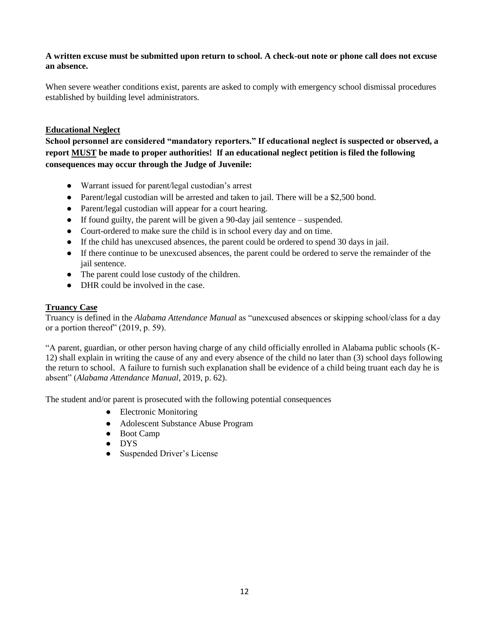#### **A written excuse must be submitted upon return to school. A check-out note or phone call does not excuse an absence.**

When severe weather conditions exist, parents are asked to comply with emergency school dismissal procedures established by building level administrators.

#### **Educational Neglect**

**School personnel are considered "mandatory reporters." If educational neglect is suspected or observed, a report MUST be made to proper authorities! If an educational neglect petition is filed the following consequences may occur through the Judge of Juvenile:**

- Warrant issued for parent/legal custodian's arrest
- Parent/legal custodian will be arrested and taken to jail. There will be a \$2,500 bond.
- Parent/legal custodian will appear for a court hearing.
- If found guilty, the parent will be given a 90-day jail sentence suspended.
- Court-ordered to make sure the child is in school every day and on time.
- If the child has unexcused absences, the parent could be ordered to spend 30 days in jail.
- If there continue to be unexcused absences, the parent could be ordered to serve the remainder of the jail sentence.
- The parent could lose custody of the children.
- DHR could be involved in the case.

#### **Truancy Case**

Truancy is defined in the *Alabama Attendance Manual* as "unexcused absences or skipping school/class for a day or a portion thereof" (2019, p. 59).

"A parent, guardian, or other person having charge of any child officially enrolled in Alabama public schools (K-12) shall explain in writing the cause of any and every absence of the child no later than (3) school days following the return to school. A failure to furnish such explanation shall be evidence of a child being truant each day he is absent" (*Alabama Attendance Manual*, 2019, p. 62).

The student and/or parent is prosecuted with the following potential consequences

- Electronic Monitoring
- Adolescent Substance Abuse Program
- Boot Camp
- DYS
- Suspended Driver's License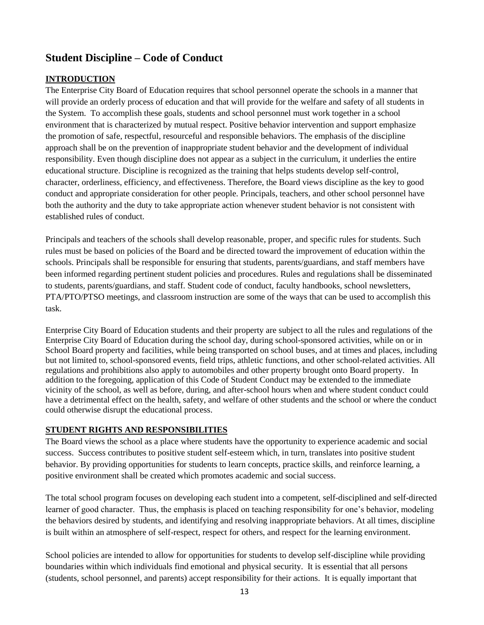## **Student Discipline – Code of Conduct**

## **INTRODUCTION**

The Enterprise City Board of Education requires that school personnel operate the schools in a manner that will provide an orderly process of education and that will provide for the welfare and safety of all students in the System. To accomplish these goals, students and school personnel must work together in a school environment that is characterized by mutual respect. Positive behavior intervention and support emphasize the promotion of safe, respectful, resourceful and responsible behaviors. The emphasis of the discipline approach shall be on the prevention of inappropriate student behavior and the development of individual responsibility. Even though discipline does not appear as a subject in the curriculum, it underlies the entire educational structure. Discipline is recognized as the training that helps students develop self-control, character, orderliness, efficiency, and effectiveness. Therefore, the Board views discipline as the key to good conduct and appropriate consideration for other people. Principals, teachers, and other school personnel have both the authority and the duty to take appropriate action whenever student behavior is not consistent with established rules of conduct.

Principals and teachers of the schools shall develop reasonable, proper, and specific rules for students. Such rules must be based on policies of the Board and be directed toward the improvement of education within the schools. Principals shall be responsible for ensuring that students, parents/guardians, and staff members have been informed regarding pertinent student policies and procedures. Rules and regulations shall be disseminated to students, parents/guardians, and staff. Student code of conduct, faculty handbooks, school newsletters, PTA/PTO/PTSO meetings, and classroom instruction are some of the ways that can be used to accomplish this task.

Enterprise City Board of Education students and their property are subject to all the rules and regulations of the Enterprise City Board of Education during the school day, during school-sponsored activities, while on or in School Board property and facilities, while being transported on school buses, and at times and places, including but not limited to, school-sponsored events, field trips, athletic functions, and other school-related activities. All regulations and prohibitions also apply to automobiles and other property brought onto Board property. In addition to the foregoing, application of this Code of Student Conduct may be extended to the immediate vicinity of the school, as well as before, during, and after-school hours when and where student conduct could have a detrimental effect on the health, safety, and welfare of other students and the school or where the conduct could otherwise disrupt the educational process.

## **STUDENT RIGHTS AND RESPONSIBILITIES**

The Board views the school as a place where students have the opportunity to experience academic and social success. Success contributes to positive student self-esteem which, in turn, translates into positive student behavior. By providing opportunities for students to learn concepts, practice skills, and reinforce learning, a positive environment shall be created which promotes academic and social success.

The total school program focuses on developing each student into a competent, self-disciplined and self-directed learner of good character. Thus, the emphasis is placed on teaching responsibility for one's behavior, modeling the behaviors desired by students, and identifying and resolving inappropriate behaviors. At all times, discipline is built within an atmosphere of self-respect, respect for others, and respect for the learning environment.

School policies are intended to allow for opportunities for students to develop self-discipline while providing boundaries within which individuals find emotional and physical security. It is essential that all persons (students, school personnel, and parents) accept responsibility for their actions. It is equally important that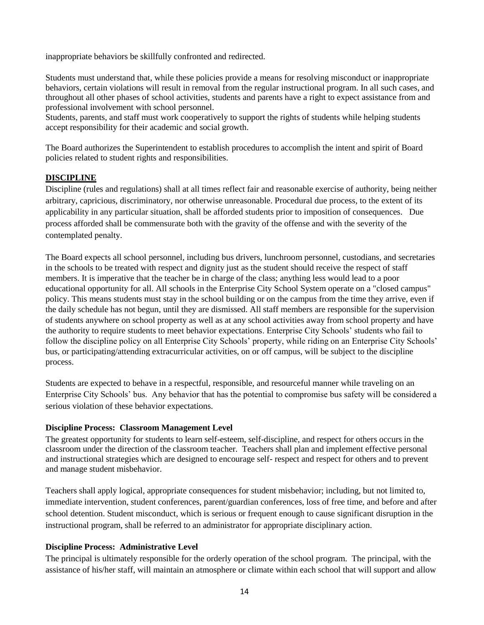inappropriate behaviors be skillfully confronted and redirected.

Students must understand that, while these policies provide a means for resolving misconduct or inappropriate behaviors, certain violations will result in removal from the regular instructional program. In all such cases, and throughout all other phases of school activities, students and parents have a right to expect assistance from and professional involvement with school personnel.

Students, parents, and staff must work cooperatively to support the rights of students while helping students accept responsibility for their academic and social growth.

The Board authorizes the Superintendent to establish procedures to accomplish the intent and spirit of Board policies related to student rights and responsibilities.

### **DISCIPLINE**

Discipline (rules and regulations) shall at all times reflect fair and reasonable exercise of authority, being neither arbitrary, capricious, discriminatory, nor otherwise unreasonable. Procedural due process, to the extent of its applicability in any particular situation, shall be afforded students prior to imposition of consequences. Due process afforded shall be commensurate both with the gravity of the offense and with the severity of the contemplated penalty.

The Board expects all school personnel, including bus drivers, lunchroom personnel, custodians, and secretaries in the schools to be treated with respect and dignity just as the student should receive the respect of staff members. It is imperative that the teacher be in charge of the class; anything less would lead to a poor educational opportunity for all. All schools in the Enterprise City School System operate on a "closed campus" policy. This means students must stay in the school building or on the campus from the time they arrive, even if the daily schedule has not begun, until they are dismissed. All staff members are responsible for the supervision of students anywhere on school property as well as at any school activities away from school property and have the authority to require students to meet behavior expectations. Enterprise City Schools' students who fail to follow the discipline policy on all Enterprise City Schools' property, while riding on an Enterprise City Schools' bus, or participating/attending extracurricular activities, on or off campus, will be subject to the discipline process.

Students are expected to behave in a respectful, responsible, and resourceful manner while traveling on an Enterprise City Schools' bus. Any behavior that has the potential to compromise bus safety will be considered a serious violation of these behavior expectations.

#### **Discipline Process: Classroom Management Level**

The greatest opportunity for students to learn self-esteem, self-discipline, and respect for others occurs in the classroom under the direction of the classroom teacher. Teachers shall plan and implement effective personal and instructional strategies which are designed to encourage self- respect and respect for others and to prevent and manage student misbehavior.

Teachers shall apply logical, appropriate consequences for student misbehavior; including, but not limited to, immediate intervention, student conferences, parent/guardian conferences, loss of free time, and before and after school detention. Student misconduct, which is serious or frequent enough to cause significant disruption in the instructional program, shall be referred to an administrator for appropriate disciplinary action.

#### **Discipline Process: Administrative Level**

The principal is ultimately responsible for the orderly operation of the school program. The principal, with the assistance of his/her staff, will maintain an atmosphere or climate within each school that will support and allow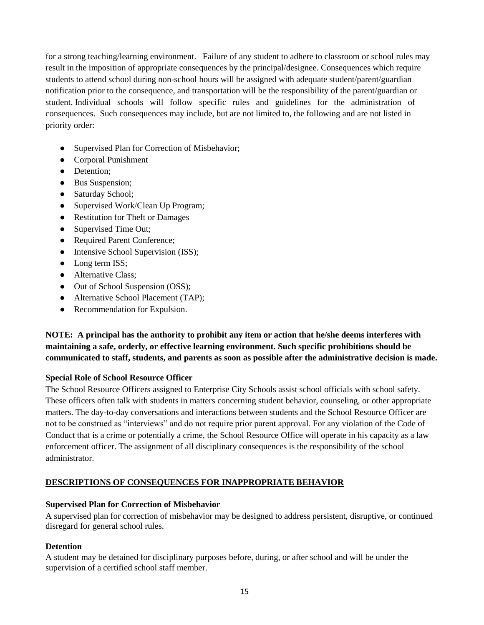for a strong teaching/learning environment. Failure of any student to adhere to classroom or school rules may result in the imposition of appropriate consequences by the principal/designee. Consequences which require students to attend school during non-school hours will be assigned with adequate student/parent/guardian notification prior to the consequence, and transportation will be the responsibility of the parent/guardian or student. Individual schools will follow specific rules and guidelines for the administration of consequences. Such consequences may include, but are not limited to, the following and are not listed in priority order:

- Supervised Plan for Correction of Misbehavior;
- Corporal Punishment
- Detention:
- Bus Suspension;
- Saturday School;
- Supervised Work/Clean Up Program;
- Restitution for Theft or Damages
- Supervised Time Out;
- Required Parent Conference;
- Intensive School Supervision (ISS);
- Long term ISS;
- Alternative Class;
- Out of School Suspension (OSS);
- Alternative School Placement (TAP);
- Recommendation for Expulsion.

**NOTE: A principal has the authority to prohibit any item or action that he/she deems interferes with maintaining a safe, orderly, or effective learning environment. Such specific prohibitions should be communicated to staff, students, and parents as soon as possible after the administrative decision is made.**

#### **Special Role of School Resource Officer**

The School Resource Officers assigned to Enterprise City Schools assist school officials with school safety. These officers often talk with students in matters concerning student behavior, counseling, or other appropriate matters. The day-to-day conversations and interactions between students and the School Resource Officer are not to be construed as "interviews" and do not require prior parent approval. For any violation of the Code of Conduct that is a crime or potentially a crime, the School Resource Office will operate in his capacity as a law enforcement officer. The assignment of all disciplinary consequences is the responsibility of the school administrator.

#### **DESCRIPTIONS OF CONSEQUENCES FOR INAPPROPRIATE BEHAVIOR**

#### **Supervised Plan for Correction of Misbehavior**

A supervised plan for correction of misbehavior may be designed to address persistent, disruptive, or continued disregard for general school rules.

#### **Detention**

A student may be detained for disciplinary purposes before, during, or after school and will be under the supervision of a certified school staff member.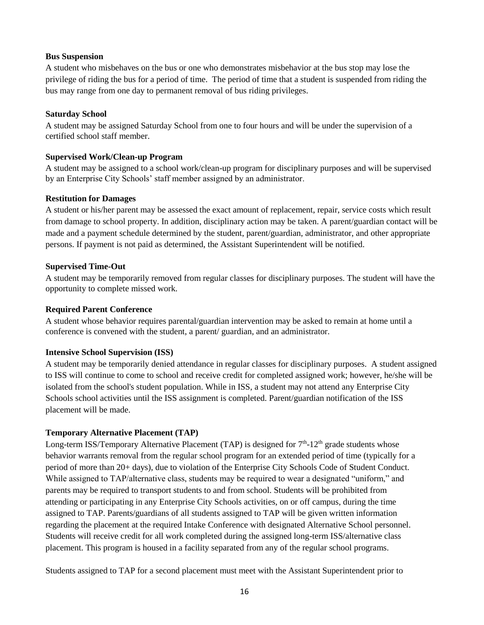#### **Bus Suspension**

A student who misbehaves on the bus or one who demonstrates misbehavior at the bus stop may lose the privilege of riding the bus for a period of time. The period of time that a student is suspended from riding the bus may range from one day to permanent removal of bus riding privileges.

#### **Saturday School**

A student may be assigned Saturday School from one to four hours and will be under the supervision of a certified school staff member.

#### **Supervised Work/Clean-up Program**

A student may be assigned to a school work/clean-up program for disciplinary purposes and will be supervised by an Enterprise City Schools' staff member assigned by an administrator.

#### **Restitution for Damages**

A student or his/her parent may be assessed the exact amount of replacement, repair, service costs which result from damage to school property. In addition, disciplinary action may be taken. A parent/guardian contact will be made and a payment schedule determined by the student, parent/guardian, administrator, and other appropriate persons. If payment is not paid as determined, the Assistant Superintendent will be notified.

#### **Supervised Time-Out**

A student may be temporarily removed from regular classes for disciplinary purposes. The student will have the opportunity to complete missed work.

#### **Required Parent Conference**

A student whose behavior requires parental/guardian intervention may be asked to remain at home until a conference is convened with the student, a parent/ guardian, and an administrator.

#### **Intensive School Supervision (ISS)**

A student may be temporarily denied attendance in regular classes for disciplinary purposes. A student assigned to ISS will continue to come to school and receive credit for completed assigned work; however, he/she will be isolated from the school's student population. While in ISS, a student may not attend any Enterprise City Schools school activities until the ISS assignment is completed. Parent/guardian notification of the ISS placement will be made.

#### **Temporary Alternative Placement (TAP)**

Long-term ISS/Temporary Alternative Placement (TAP) is designed for  $7<sup>th</sup>$ -12<sup>th</sup> grade students whose behavior warrants removal from the regular school program for an extended period of time (typically for a period of more than 20+ days), due to violation of the Enterprise City Schools Code of Student Conduct. While assigned to TAP/alternative class, students may be required to wear a designated "uniform," and parents may be required to transport students to and from school. Students will be prohibited from attending or participating in any Enterprise City Schools activities, on or off campus, during the time assigned to TAP. Parents/guardians of all students assigned to TAP will be given written information regarding the placement at the required Intake Conference with designated Alternative School personnel. Students will receive credit for all work completed during the assigned long-term ISS/alternative class placement. This program is housed in a facility separated from any of the regular school programs.

Students assigned to TAP for a second placement must meet with the Assistant Superintendent prior to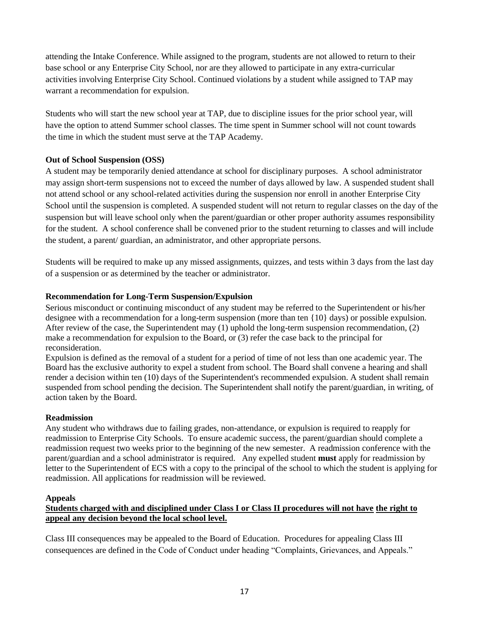attending the Intake Conference. While assigned to the program, students are not allowed to return to their base school or any Enterprise City School, nor are they allowed to participate in any extra-curricular activities involving Enterprise City School. Continued violations by a student while assigned to TAP may warrant a recommendation for expulsion.

Students who will start the new school year at TAP, due to discipline issues for the prior school year, will have the option to attend Summer school classes. The time spent in Summer school will not count towards the time in which the student must serve at the TAP Academy.

#### **Out of School Suspension (OSS)**

A student may be temporarily denied attendance at school for disciplinary purposes. A school administrator may assign short-term suspensions not to exceed the number of days allowed by law. A suspended student shall not attend school or any school-related activities during the suspension nor enroll in another Enterprise City School until the suspension is completed. A suspended student will not return to regular classes on the day of the suspension but will leave school only when the parent/guardian or other proper authority assumes responsibility for the student. A school conference shall be convened prior to the student returning to classes and will include the student, a parent/ guardian, an administrator, and other appropriate persons.

Students will be required to make up any missed assignments, quizzes, and tests within 3 days from the last day of a suspension or as determined by the teacher or administrator.

### **Recommendation for Long-Term Suspension/Expulsion**

Serious misconduct or continuing misconduct of any student may be referred to the Superintendent or his/her designee with a recommendation for a long-term suspension (more than ten {10} days) or possible expulsion. After review of the case, the Superintendent may (1) uphold the long-term suspension recommendation, (2) make a recommendation for expulsion to the Board, or (3) refer the case back to the principal for reconsideration.

Expulsion is defined as the removal of a student for a period of time of not less than one academic year. The Board has the exclusive authority to expel a student from school. The Board shall convene a hearing and shall render a decision within ten (10) days of the Superintendent's recommended expulsion. A student shall remain suspended from school pending the decision. The Superintendent shall notify the parent/guardian, in writing, of action taken by the Board.

#### **Readmission**

Any student who withdraws due to failing grades, non-attendance, or expulsion is required to reapply for readmission to Enterprise City Schools. To ensure academic success, the parent/guardian should complete a readmission request two weeks prior to the beginning of the new semester. A readmission conference with the parent/guardian and a school administrator is required. Any expelled student **must** apply for readmission by letter to the Superintendent of ECS with a copy to the principal of the school to which the student is applying for readmission. All applications for readmission will be reviewed.

#### **Appeals**

#### **Students charged with and disciplined under Class I or Class II procedures will not have the right to appeal any decision beyond the local school level.**

Class III consequences may be appealed to the Board of Education. Procedures for appealing Class III consequences are defined in the Code of Conduct under heading "Complaints, Grievances, and Appeals."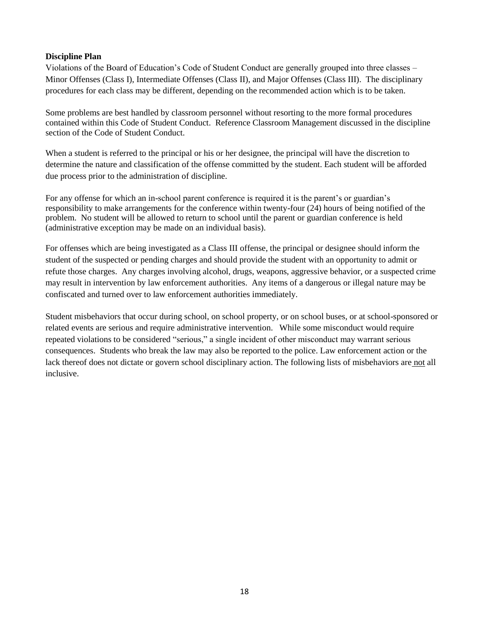#### **Discipline Plan**

Violations of the Board of Education's Code of Student Conduct are generally grouped into three classes – Minor Offenses (Class I), Intermediate Offenses (Class II), and Major Offenses (Class III). The disciplinary procedures for each class may be different, depending on the recommended action which is to be taken.

Some problems are best handled by classroom personnel without resorting to the more formal procedures contained within this Code of Student Conduct. Reference Classroom Management discussed in the discipline section of the Code of Student Conduct.

When a student is referred to the principal or his or her designee, the principal will have the discretion to determine the nature and classification of the offense committed by the student. Each student will be afforded due process prior to the administration of discipline.

For any offense for which an in-school parent conference is required it is the parent's or guardian's responsibility to make arrangements for the conference within twenty-four (24) hours of being notified of the problem. No student will be allowed to return to school until the parent or guardian conference is held (administrative exception may be made on an individual basis).

For offenses which are being investigated as a Class III offense, the principal or designee should inform the student of the suspected or pending charges and should provide the student with an opportunity to admit or refute those charges. Any charges involving alcohol, drugs, weapons, aggressive behavior, or a suspected crime may result in intervention by law enforcement authorities. Any items of a dangerous or illegal nature may be confiscated and turned over to law enforcement authorities immediately.

Student misbehaviors that occur during school, on school property, or on school buses, or at school-sponsored or related events are serious and require administrative intervention. While some misconduct would require repeated violations to be considered "serious," a single incident of other misconduct may warrant serious consequences. Students who break the law may also be reported to the police. Law enforcement action or the lack thereof does not dictate or govern school disciplinary action. The following lists of misbehaviors are not all inclusive.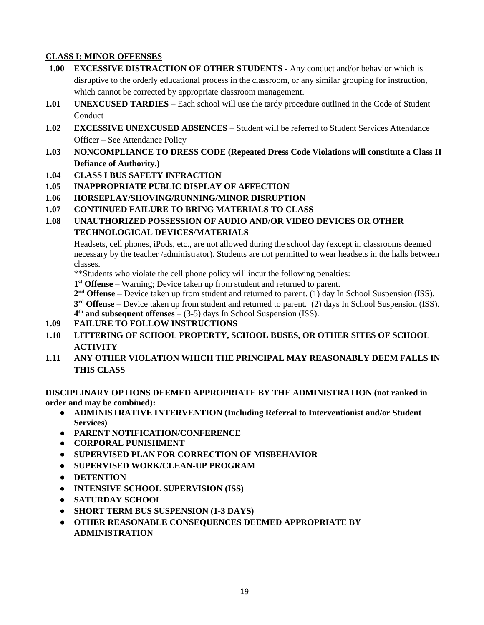## **CLASS I: MINOR OFFENSES**

- **1.00 EXCESSIVE DISTRACTION OF OTHER STUDENTS -** Any conduct and/or behavior which is disruptive to the orderly educational process in the classroom, or any similar grouping for instruction, which cannot be corrected by appropriate classroom management.
- **1.01 UNEXCUSED TARDIES**  Each school will use the tardy procedure outlined in the Code of Student **Conduct**
- **1.02 EXCESSIVE UNEXCUSED ABSENCES –** Student will be referred to Student Services Attendance Officer – See Attendance Policy
- **1.03 NONCOMPLIANCE TO DRESS CODE (Repeated Dress Code Violations will constitute a Class II Defiance of Authority.)**
- **1.04 CLASS I BUS SAFETY INFRACTION**
- **1.05 INAPPROPRIATE PUBLIC DISPLAY OF AFFECTION**
- **1.06 HORSEPLAY/SHOVING/RUNNING/MINOR DISRUPTION**
- **1.07 CONTINUED FAILURE TO BRING MATERIALS TO CLASS**
- **1.08 UNAUTHORIZED POSSESSION OF AUDIO AND/OR VIDEO DEVICES OR OTHER TECHNOLOGICAL DEVICES/MATERIALS**

Headsets, cell phones, iPods, etc., are not allowed during the school day (except in classrooms deemed necessary by the teacher /administrator). Students are not permitted to wear headsets in the halls between classes.

\*\*Students who violate the cell phone policy will incur the following penalties:

1<sup>st</sup> Offense – Warning; Device taken up from student and returned to parent.

2<sup>nd</sup> Offense – Device taken up from student and returned to parent. (1) day In School Suspension (ISS).

**3 rd Offense** – Device taken up from student and returned to parent. (2) days In School Suspension (ISS). **4 th and subsequent offenses** – (3-5) days In School Suspension (ISS).

- **1.09 FAILURE TO FOLLOW INSTRUCTIONS**
- **1.10 LITTERING OF SCHOOL PROPERTY, SCHOOL BUSES, OR OTHER SITES OF SCHOOL ACTIVITY**
- **1.11 ANY OTHER VIOLATION WHICH THE PRINCIPAL MAY REASONABLY DEEM FALLS IN THIS CLASS**

**DISCIPLINARY OPTIONS DEEMED APPROPRIATE BY THE ADMINISTRATION (not ranked in order and may be combined):**

- **ADMINISTRATIVE INTERVENTION (Including Referral to Interventionist and/or Student Services)**
- **PARENT NOTIFICATION/CONFERENCE**
- **CORPORAL PUNISHMENT**
- **SUPERVISED PLAN FOR CORRECTION OF MISBEHAVIOR**
- **SUPERVISED WORK/CLEAN-UP PROGRAM**
- **DETENTION**
- **INTENSIVE SCHOOL SUPERVISION (ISS)**
- **SATURDAY SCHOOL**
- **SHORT TERM BUS SUSPENSION (1-3 DAYS)**
- **OTHER REASONABLE CONSEQUENCES DEEMED APPROPRIATE BY ADMINISTRATION**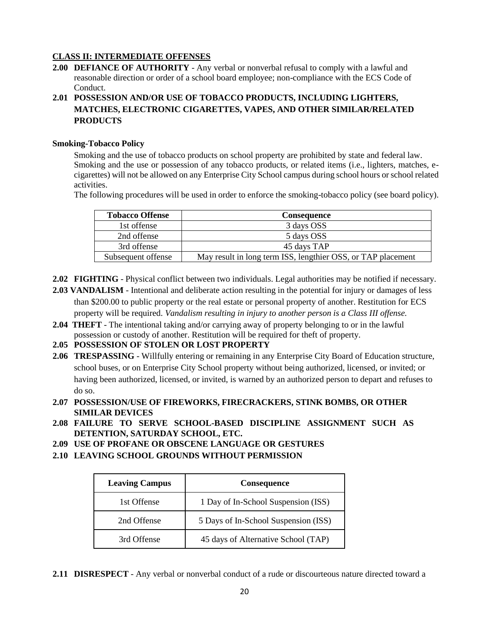## **CLASS II: INTERMEDIATE OFFENSES**

**2.00 DEFIANCE OF AUTHORITY** - Any verbal or nonverbal refusal to comply with a lawful and reasonable direction or order of a school board employee; non-compliance with the ECS Code of Conduct.

## **2.01 POSSESSION AND/OR USE OF TOBACCO PRODUCTS, INCLUDING LIGHTERS, MATCHES, ELECTRONIC CIGARETTES, VAPES, AND OTHER SIMILAR/RELATED PRODUCTS**

#### **Smoking-Tobacco Policy**

Smoking and the use of tobacco products on school property are prohibited by state and federal law. Smoking and the use or possession of any tobacco products, or related items (i.e., lighters, matches, ecigarettes) will not be allowed on any Enterprise City School campus during school hours or school related activities.

The following procedures will be used in order to enforce the smoking-tobacco policy (see board policy).

| <b>Tobacco Offense</b> | Consequence                                                  |
|------------------------|--------------------------------------------------------------|
| 1st offense            | 3 days OSS                                                   |
| 2nd offense            | 5 days OSS                                                   |
| 3rd offense            | 45 days TAP                                                  |
| Subsequent offense     | May result in long term ISS, lengthier OSS, or TAP placement |

- **2.02 FIGHTING**  Physical conflict between two individuals. Legal authorities may be notified if necessary.
- **2.03 VANDALISM**  Intentional and deliberate action resulting in the potential for injury or damages of less than \$200.00 to public property or the real estate or personal property of another. Restitution for ECS property will be required. *Vandalism resulting in injury to another person is a Class III offense.*
- **2.04 THEFT**  The intentional taking and/or carrying away of property belonging to or in the lawful possession or custody of another. Restitution will be required for theft of property.
- **2.05 POSSESSION OF STOLEN OR LOST PROPERTY**
- **2.06 TRESPASSING**  Willfully entering or remaining in any Enterprise City Board of Education structure, school buses, or on Enterprise City School property without being authorized, licensed, or invited; or having been authorized, licensed, or invited, is warned by an authorized person to depart and refuses to do so.
- **2.07 POSSESSION/USE OF FIREWORKS, FIRECRACKERS, STINK BOMBS, OR OTHER SIMILAR DEVICES**
- **2.08 FAILURE TO SERVE SCHOOL-BASED DISCIPLINE ASSIGNMENT SUCH AS DETENTION, SATURDAY SCHOOL, ETC.**
- **2.09 USE OF PROFANE OR OBSCENE LANGUAGE OR GESTURES**
- **2.10 LEAVING SCHOOL GROUNDS WITHOUT PERMISSION**

| <b>Leaving Campus</b> | <b>Consequence</b>                   |
|-----------------------|--------------------------------------|
| 1st Offense           | 1 Day of In-School Suspension (ISS)  |
| 2nd Offense           | 5 Days of In-School Suspension (ISS) |
| 3rd Offense           | 45 days of Alternative School (TAP)  |

**2.11 DISRESPECT** - Any verbal or nonverbal conduct of a rude or discourteous nature directed toward a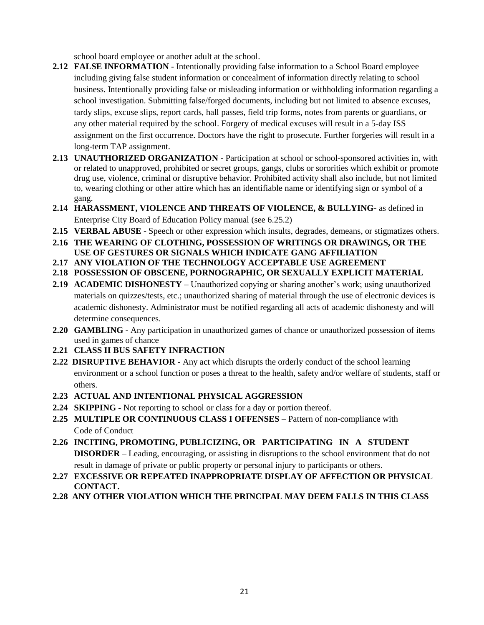school board employee or another adult at the school.

- **2.12 FALSE INFORMATION -** Intentionally providing false information to a School Board employee including giving false student information or concealment of information directly relating to school business. Intentionally providing false or misleading information or withholding information regarding a school investigation. Submitting false/forged documents, including but not limited to absence excuses, tardy slips, excuse slips, report cards, hall passes, field trip forms, notes from parents or guardians, or any other material required by the school. Forgery of medical excuses will result in a 5-day ISS assignment on the first occurrence. Doctors have the right to prosecute. Further forgeries will result in a long-term TAP assignment.
- **2.13 UNAUTHORIZED ORGANIZATION -** Participation at school or school-sponsored activities in, with or related to unapproved, prohibited or secret groups, gangs, clubs or sororities which exhibit or promote drug use, violence, criminal or disruptive behavior. Prohibited activity shall also include, but not limited to, wearing clothing or other attire which has an identifiable name or identifying sign or symbol of a gang.
- **2.14 HARASSMENT, VIOLENCE AND THREATS OF VIOLENCE, & BULLYING-** as defined in Enterprise City Board of Education Policy manual (see 6.25.2)
- **2.15 VERBAL ABUSE**  Speech or other expression which insults, degrades, demeans, or stigmatizes others.
- **2.16 THE WEARING OF CLOTHING, POSSESSION OF WRITINGS OR DRAWINGS, OR THE USE OF GESTURES OR SIGNALS WHICH INDICATE GANG AFFILIATION**
- **2.17 ANY VIOLATION OF THE TECHNOLOGY ACCEPTABLE USE AGREEMENT**
- **2.18 POSSESSION OF OBSCENE, PORNOGRAPHIC, OR SEXUALLY EXPLICIT MATERIAL**
- **2.19 ACADEMIC DISHONESTY**  Unauthorized copying or sharing another's work; using unauthorized materials on quizzes/tests, etc.; unauthorized sharing of material through the use of electronic devices is academic dishonesty. Administrator must be notified regarding all acts of academic dishonesty and will determine consequences.
- **2.20 GAMBLING -** Any participation in unauthorized games of chance or unauthorized possession of items used in games of chance
- **2.21 CLASS II BUS SAFETY INFRACTION**
- **2.22 DISRUPTIVE BEHAVIOR -** Any act which disrupts the orderly conduct of the school learning environment or a school function or poses a threat to the health, safety and/or welfare of students, staff or others.
- **2.23 ACTUAL AND INTENTIONAL PHYSICAL AGGRESSION**
- **2.24 SKIPPING -** Not reporting to school or class for a day or portion thereof.
- **2.25 MULTIPLE OR CONTINUOUS CLASS I OFFENSES –** Pattern of non-compliance with Code of Conduct
- **2.26 INCITING, PROMOTING, PUBLICIZING, OR PARTICIPATING IN A STUDENT DISORDER** – Leading, encouraging, or assisting in disruptions to the school environment that do not result in damage of private or public property or personal injury to participants or others.
- **2.27 EXCESSIVE OR REPEATED INAPPROPRIATE DISPLAY OF AFFECTION OR PHYSICAL CONTACT.**
- **2.28 ANY OTHER VIOLATION WHICH THE PRINCIPAL MAY DEEM FALLS IN THIS CLASS**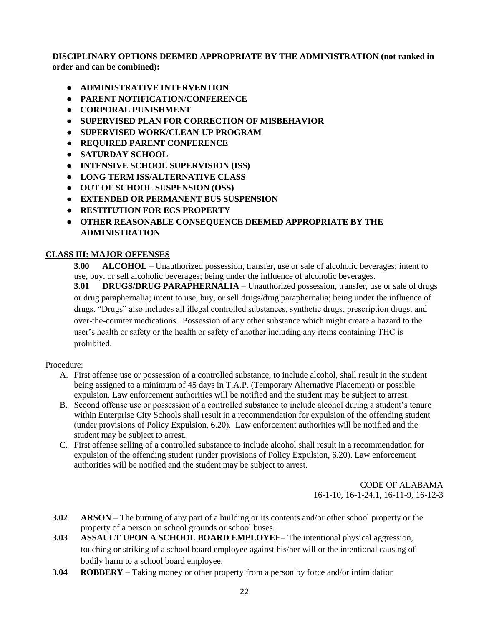**DISCIPLINARY OPTIONS DEEMED APPROPRIATE BY THE ADMINISTRATION (not ranked in order and can be combined):**

- **ADMINISTRATIVE INTERVENTION**
- **PARENT NOTIFICATION/CONFERENCE**
- **CORPORAL PUNISHMENT**
- **SUPERVISED PLAN FOR CORRECTION OF MISBEHAVIOR**
- **SUPERVISED WORK/CLEAN-UP PROGRAM**
- **REQUIRED PARENT CONFERENCE**
- **SATURDAY SCHOOL**
- **INTENSIVE SCHOOL SUPERVISION (ISS)**
- **LONG TERM ISS/ALTERNATIVE CLASS**
- **OUT OF SCHOOL SUSPENSION (OSS)**
- **EXTENDED OR PERMANENT BUS SUSPENSION**
- **RESTITUTION FOR ECS PROPERTY**
- **OTHER REASONABLE CONSEQUENCE DEEMED APPROPRIATE BY THE ADMINISTRATION**

#### **CLASS III: MAJOR OFFENSES**

**3.00 ALCOHOL** – Unauthorized possession, transfer, use or sale of alcoholic beverages; intent to use, buy, or sell alcoholic beverages; being under the influence of alcoholic beverages.

**3.01 DRUGS/DRUG PARAPHERNALIA** – Unauthorized possession, transfer, use or sale of drugs or drug paraphernalia; intent to use, buy, or sell drugs/drug paraphernalia; being under the influence of drugs. "Drugs" also includes all illegal controlled substances, synthetic drugs, prescription drugs, and over-the-counter medications. Possession of any other substance which might create a hazard to the user's health or safety or the health or safety of another including any items containing THC is prohibited.

Procedure:

- A. First offense use or possession of a controlled substance, to include alcohol, shall result in the student being assigned to a minimum of 45 days in T.A.P. (Temporary Alternative Placement) or possible expulsion. Law enforcement authorities will be notified and the student may be subject to arrest.
- B. Second offense use or possession of a controlled substance to include alcohol during a student's tenure within Enterprise City Schools shall result in a recommendation for expulsion of the offending student (under provisions of Policy Expulsion, 6.20). Law enforcement authorities will be notified and the student may be subject to arrest.
- C. First offense selling of a controlled substance to include alcohol shall result in a recommendation for expulsion of the offending student (under provisions of Policy Expulsion, 6.20). Law enforcement authorities will be notified and the student may be subject to arrest.

CODE OF ALABAMA 16-1-10, 16-1-24.1, 16-11-9, 16-12-3

- **3.02 ARSON**  The burning of any part of a building or its contents and/or other school property or the property of a person on school grounds or school buses.
- **3.03 ASSAULT UPON A SCHOOL BOARD EMPLOYEE** The intentional physical aggression, touching or striking of a school board employee against his/her will or the intentional causing of bodily harm to a school board employee.
- **3.04 ROBBERY**  Taking money or other property from a person by force and/or intimidation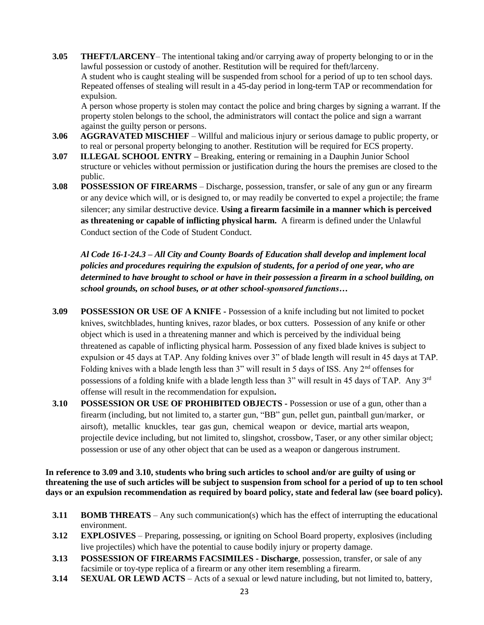**3.05 THEFT/LARCENY**– The intentional taking and/or carrying away of property belonging to or in the lawful possession or custody of another. Restitution will be required for theft/larceny. A student who is caught stealing will be suspended from school for a period of up to ten school days. Repeated offenses of stealing will result in a 45-day period in long-term TAP or recommendation for expulsion.

A person whose property is stolen may contact the police and bring charges by signing a warrant. If the property stolen belongs to the school, the administrators will contact the police and sign a warrant against the guilty person or persons.

- **3.06 AGGRAVATED MISCHIEF**  Willful and malicious injury or serious damage to public property, or to real or personal property belonging to another. Restitution will be required for ECS property.
- **3.07 ILLEGAL SCHOOL ENTRY –** Breaking, entering or remaining in a Dauphin Junior School structure or vehicles without permission or justification during the hours the premises are closed to the public.
- **3.08 POSSESSION OF FIREARMS**  Discharge, possession, transfer, or sale of any gun or any firearm or any device which will, or is designed to, or may readily be converted to expel a projectile; the frame silencer; any similar destructive device. **Using a firearm facsimile in a manner which is perceived as threatening or capable of inflicting physical harm.** A firearm is defined under the Unlawful Conduct section of the Code of Student Conduct.

*Al Code 16-1-24.3 – All City and County Boards of Education shall develop and implement local policies and procedures requiring the expulsion of students, for a period of one year, who are determined to have brought to school or have in their possession a firearm in a school building, on school grounds, on school buses, or at other school-sponsored functions…*

- **3.09 POSSESSION OR USE OF A KNIFE -** Possession of a knife including but not limited to pocket knives, switchblades, hunting knives, razor blades, or box cutters. Possession of any knife or other object which is used in a threatening manner and which is perceived by the individual being threatened as capable of inflicting physical harm. Possession of any fixed blade knives is subject to expulsion or 45 days at TAP. Any folding knives over 3" of blade length will result in 45 days at TAP. Folding knives with a blade length less than 3" will result in 5 days of ISS. Any 2<sup>nd</sup> offenses for possessions of a folding knife with a blade length less than 3" will result in 45 days of TAP. Any 3rd offense will result in the recommendation for expulsion**.**
- **3.10 POSSESSION OR USE OF PROHIBITED OBJECTS -** Possession or use of a gun, other than a firearm (including, but not limited to, a starter gun, "BB" gun, pellet gun, paintball gun/marker, or airsoft), metallic knuckles, tear gas gun, chemical weapon or device, martial arts weapon, projectile device including, but not limited to, slingshot, crossbow, Taser, or any other similar object; possession or use of any other object that can be used as a weapon or dangerous instrument.

**In reference to 3.09 and 3.10, students who bring such articles to school and/or are guilty of using or threatening the use of such articles will be subject to suspension from school for a period of up to ten school days or an expulsion recommendation as required by board policy, state and federal law (see board policy).** 

- **3.11 BOMB THREATS** Any such communication(s) which has the effect of interrupting the educational environment.
- **3.12 EXPLOSIVES**  Preparing, possessing, or igniting on School Board property, explosives (including live projectiles) which have the potential to cause bodily injury or property damage.
- **3.13 POSSESSION OF FIREARMS FACSIMILES - Discharge**, possession, transfer, or sale of any facsimile or toy-type replica of a firearm or any other item resembling a firearm.
- **3.14 SEXUAL OR LEWD ACTS** Acts of a sexual or lewd nature including, but not limited to, battery,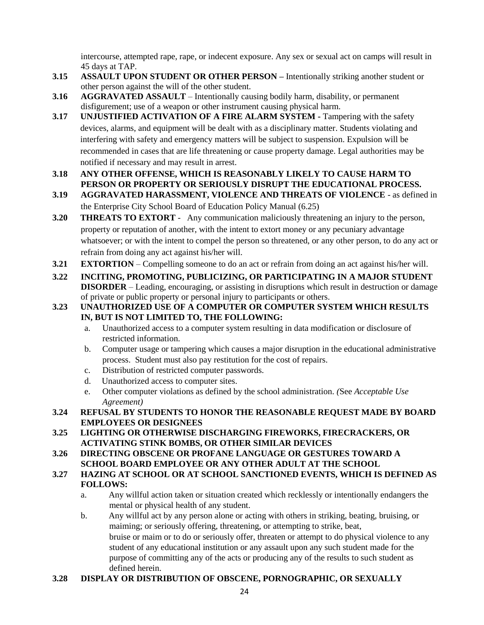intercourse, attempted rape, rape, or indecent exposure. Any sex or sexual act on camps will result in 45 days at TAP.

- **3.15 ASSAULT UPON STUDENT OR OTHER PERSON –** Intentionally striking another student or other person against the will of the other student.
- **3.16 AGGRAVATED ASSAULT**  Intentionally causing bodily harm, disability, or permanent disfigurement; use of a weapon or other instrument causing physical harm.
- **3.17 UNJUSTIFIED ACTIVATION OF A FIRE ALARM SYSTEM -** Tampering with the safety devices, alarms, and equipment will be dealt with as a disciplinary matter. Students violating and interfering with safety and emergency matters will be subject to suspension. Expulsion will be recommended in cases that are life threatening or cause property damage. Legal authorities may be notified if necessary and may result in arrest.

## **3.18 ANY OTHER OFFENSE, WHICH IS REASONABLY LIKELY TO CAUSE HARM TO PERSON OR PROPERTY OR SERIOUSLY DISRUPT THE EDUCATIONAL PROCESS.**

- **3.19 AGGRAVATED HARASSMENT, VIOLENCE AND THREATS OF VIOLENCE**  as defined in the Enterprise City School Board of Education Policy Manual (6.25)
- **3.20 THREATS TO EXTORT**  Any communication maliciously threatening an injury to the person, property or reputation of another, with the intent to extort money or any pecuniary advantage whatsoever; or with the intent to compel the person so threatened, or any other person, to do any act or refrain from doing any act against his/her will.
- **3.21 EXTORTION** Compelling someone to do an act or refrain from doing an act against his/her will.
- **3.22 INCITING, PROMOTING, PUBLICIZING, OR PARTICIPATING IN A MAJOR STUDENT DISORDER** – Leading, encouraging, or assisting in disruptions which result in destruction or damage of private or public property or personal injury to participants or others.

### **3.23 UNAUTHORIZED USE OF A COMPUTER OR COMPUTER SYSTEM WHICH RESULTS IN, BUT IS NOT LIMITED TO, THE FOLLOWING:**

- a. Unauthorized access to a computer system resulting in data modification or disclosure of restricted information.
- b. Computer usage or tampering which causes a major disruption in the educational administrative process. Student must also pay restitution for the cost of repairs.
- c. Distribution of restricted computer passwords.
- d. Unauthorized access to computer sites.
- e. Other computer violations as defined by the school administration. *(*See *Acceptable Use Agreement)*
- **3.24 REFUSAL BY STUDENTS TO HONOR THE REASONABLE REQUEST MADE BY BOARD EMPLOYEES OR DESIGNEES**
- **3.25 LIGHTING OR OTHERWISE DISCHARGING FIREWORKS, FIRECRACKERS, OR ACTIVATING STINK BOMBS, OR OTHER SIMILAR DEVICES**
- **3.26 DIRECTING OBSCENE OR PROFANE LANGUAGE OR GESTURES TOWARD A SCHOOL BOARD EMPLOYEE OR ANY OTHER ADULT AT THE SCHOOL**
- **3.27 HAZING AT SCHOOL OR AT SCHOOL SANCTIONED EVENTS, WHICH IS DEFINED AS FOLLOWS:**
	- a. Any willful action taken or situation created which recklessly or intentionally endangers the mental or physical health of any student.
	- b. Any willful act by any person alone or acting with others in striking, beating, bruising, or maiming; or seriously offering, threatening, or attempting to strike, beat, bruise or maim or to do or seriously offer, threaten or attempt to do physical violence to any student of any educational institution or any assault upon any such student made for the purpose of committing any of the acts or producing any of the results to such student as defined herein.

## **3.28 DISPLAY OR DISTRIBUTION OF OBSCENE, PORNOGRAPHIC, OR SEXUALLY**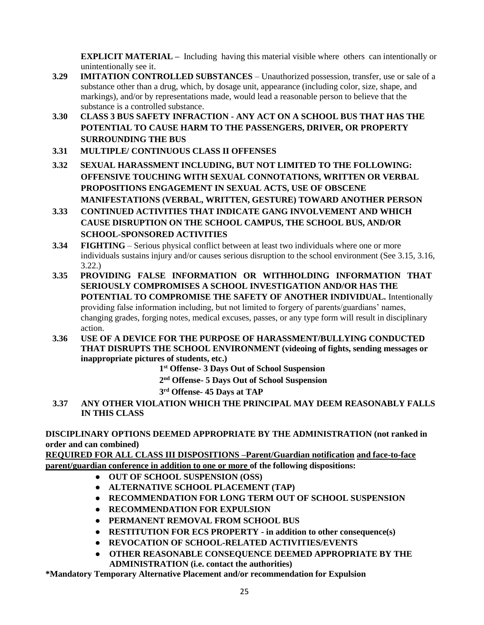**EXPLICIT MATERIAL –** Including having this material visible where others can intentionally or unintentionally see it.

- **3.29 IMITATION CONTROLLED SUBSTANCES**  Unauthorized possession, transfer, use or sale of a substance other than a drug, which, by dosage unit, appearance (including color, size, shape, and markings), and/or by representations made, would lead a reasonable person to believe that the substance is a controlled substance.
- **3.30 CLASS 3 BUS SAFETY INFRACTION - ANY ACT ON A SCHOOL BUS THAT HAS THE POTENTIAL TO CAUSE HARM TO THE PASSENGERS, DRIVER, OR PROPERTY SURROUNDING THE BUS**
- **3.31 MULTIPLE/ CONTINUOUS CLASS II OFFENSES**
- **3.32 SEXUAL HARASSMENT INCLUDING, BUT NOT LIMITED TO THE FOLLOWING: OFFENSIVE TOUCHING WITH SEXUAL CONNOTATIONS, WRITTEN OR VERBAL PROPOSITIONS ENGAGEMENT IN SEXUAL ACTS, USE OF OBSCENE MANIFESTATIONS (VERBAL, WRITTEN, GESTURE) TOWARD ANOTHER PERSON**
- **3.33 CONTINUED ACTIVITIES THAT INDICATE GANG INVOLVEMENT AND WHICH CAUSE DISRUPTION ON THE SCHOOL CAMPUS, THE SCHOOL BUS, AND/OR SCHOOL-SPONSORED ACTIVITIES**
- **3.34 FIGHTING**  Serious physical conflict between at least two individuals where one or more individuals sustains injury and/or causes serious disruption to the school environment (See 3.15, 3.16, 3.22.)
- **3.35 PROVIDING FALSE INFORMATION OR WITHHOLDING INFORMATION THAT SERIOUSLY COMPROMISES A SCHOOL INVESTIGATION AND/OR HAS THE POTENTIAL TO COMPROMISE THE SAFETY OF ANOTHER INDIVIDUAL.** Intentionally providing false information including, but not limited to forgery of parents/guardians' names, changing grades, forging notes, medical excuses, passes, or any type form will result in disciplinary action.
- **3.36 USE OF A DEVICE FOR THE PURPOSE OF HARASSMENT/BULLYING CONDUCTED THAT DISRUPTS THE SCHOOL ENVIRONMENT (videoing of fights, sending messages or inappropriate pictures of students, etc.)**
	- **1 st Offense- 3 Days Out of School Suspension**
	- **2 nd Offense- 5 Days Out of School Suspension**
	- **3 rd Offense- 45 Days at TAP**
- **3.37 ANY OTHER VIOLATION WHICH THE PRINCIPAL MAY DEEM REASONABLY FALLS IN THIS CLASS**

**DISCIPLINARY OPTIONS DEEMED APPROPRIATE BY THE ADMINISTRATION (not ranked in order and can combined)** 

**REQUIRED FOR ALL CLASS III DISPOSITIONS –Parent/Guardian notification and face-to-face parent/guardian conference in addition to one or more of the following dispositions:**

- **OUT OF SCHOOL SUSPENSION (OSS)**
- **ALTERNATIVE SCHOOL PLACEMENT (TAP)**
- **RECOMMENDATION FOR LONG TERM OUT OF SCHOOL SUSPENSION**
- **RECOMMENDATION FOR EXPULSION**
- **PERMANENT REMOVAL FROM SCHOOL BUS**
- **RESTITUTION FOR ECS PROPERTY - in addition to other consequence(s)**
- **REVOCATION OF SCHOOL-RELATED ACTIVITIES/EVENTS**
- **OTHER REASONABLE CONSEQUENCE DEEMED APPROPRIATE BY THE ADMINISTRATION (i.e. contact the authorities)**
- **\*Mandatory Temporary Alternative Placement and/or recommendation for Expulsion**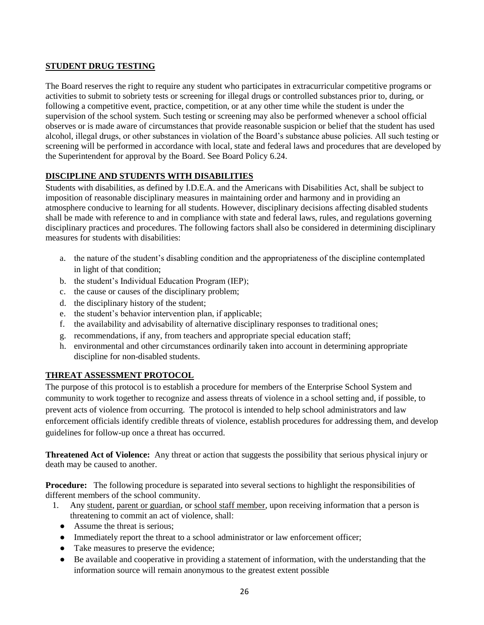#### **STUDENT DRUG TESTING**

The Board reserves the right to require any student who participates in extracurricular competitive programs or activities to submit to sobriety tests or screening for illegal drugs or controlled substances prior to, during, or following a competitive event, practice, competition, or at any other time while the student is under the supervision of the school system. Such testing or screening may also be performed whenever a school official observes or is made aware of circumstances that provide reasonable suspicion or belief that the student has used alcohol, illegal drugs, or other substances in violation of the Board's substance abuse policies. All such testing or screening will be performed in accordance with local, state and federal laws and procedures that are developed by the Superintendent for approval by the Board. See Board Policy 6.24.

## **DISCIPLINE AND STUDENTS WITH DISABILITIES**

Students with disabilities, as defined by I.D.E.A. and the Americans with Disabilities Act, shall be subject to imposition of reasonable disciplinary measures in maintaining order and harmony and in providing an atmosphere conducive to learning for all students. However, disciplinary decisions affecting disabled students shall be made with reference to and in compliance with state and federal laws, rules, and regulations governing disciplinary practices and procedures. The following factors shall also be considered in determining disciplinary measures for students with disabilities:

- a. the nature of the student's disabling condition and the appropriateness of the discipline contemplated in light of that condition;
- b. the student's Individual Education Program (IEP);
- c. the cause or causes of the disciplinary problem;
- d. the disciplinary history of the student;
- e. the student's behavior intervention plan, if applicable;
- f. the availability and advisability of alternative disciplinary responses to traditional ones;
- g. recommendations, if any, from teachers and appropriate special education staff;
- h. environmental and other circumstances ordinarily taken into account in determining appropriate discipline for non-disabled students.

## **THREAT ASSESSMENT PROTOCOL**

The purpose of this protocol is to establish a procedure for members of the Enterprise School System and community to work together to recognize and assess threats of violence in a school setting and, if possible, to prevent acts of violence from occurring. The protocol is intended to help school administrators and law enforcement officials identify credible threats of violence, establish procedures for addressing them, and develop guidelines for follow-up once a threat has occurred.

**Threatened Act of Violence:** Any threat or action that suggests the possibility that serious physical injury or death may be caused to another.

**Procedure:** The following procedure is separated into several sections to highlight the responsibilities of different members of the school community.

- 1. Any student, parent or guardian, or school staff member, upon receiving information that a person is threatening to commit an act of violence, shall:
	- Assume the threat is serious:
	- Immediately report the threat to a school administrator or law enforcement officer;
	- Take measures to preserve the evidence;
	- Be available and cooperative in providing a statement of information, with the understanding that the information source will remain anonymous to the greatest extent possible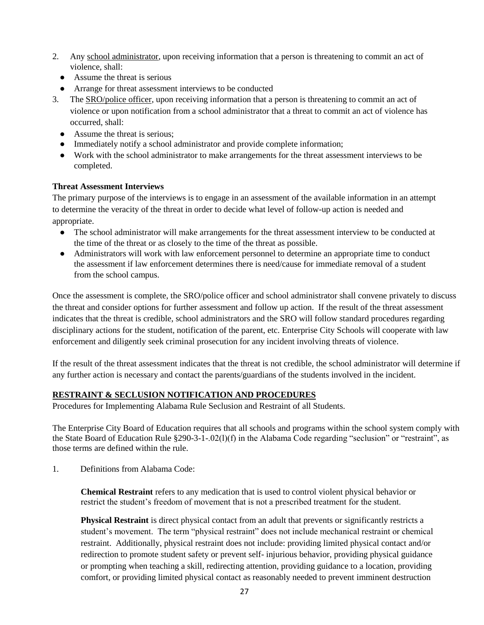- 2. Any school administrator, upon receiving information that a person is threatening to commit an act of violence, shall:
	- Assume the threat is serious
	- Arrange for threat assessment interviews to be conducted
- 3. The SRO/police officer, upon receiving information that a person is threatening to commit an act of violence or upon notification from a school administrator that a threat to commit an act of violence has occurred, shall:
	- Assume the threat is serious:
	- Immediately notify a school administrator and provide complete information;
	- Work with the school administrator to make arrangements for the threat assessment interviews to be completed.

### **Threat Assessment Interviews**

The primary purpose of the interviews is to engage in an assessment of the available information in an attempt to determine the veracity of the threat in order to decide what level of follow-up action is needed and appropriate.

- The school administrator will make arrangements for the threat assessment interview to be conducted at the time of the threat or as closely to the time of the threat as possible.
- Administrators will work with law enforcement personnel to determine an appropriate time to conduct the assessment if law enforcement determines there is need/cause for immediate removal of a student from the school campus.

Once the assessment is complete, the SRO/police officer and school administrator shall convene privately to discuss the threat and consider options for further assessment and follow up action. If the result of the threat assessment indicates that the threat is credible, school administrators and the SRO will follow standard procedures regarding disciplinary actions for the student, notification of the parent, etc. Enterprise City Schools will cooperate with law enforcement and diligently seek criminal prosecution for any incident involving threats of violence.

If the result of the threat assessment indicates that the threat is not credible, the school administrator will determine if any further action is necessary and contact the parents/guardians of the students involved in the incident.

#### **RESTRAINT & SECLUSION NOTIFICATION AND PROCEDURES**

Procedures for Implementing Alabama Rule Seclusion and Restraint of all Students.

The Enterprise City Board of Education requires that all schools and programs within the school system comply with the State Board of Education Rule §290-3-1-.02(l)(f) in the Alabama Code regarding "seclusion" or "restraint", as those terms are defined within the rule.

1. Definitions from Alabama Code:

**Chemical Restraint** refers to any medication that is used to control violent physical behavior or restrict the student's freedom of movement that is not a prescribed treatment for the student.

**Physical Restraint** is direct physical contact from an adult that prevents or significantly restricts a student's movement. The term "physical restraint" does not include mechanical restraint or chemical restraint. Additionally, physical restraint does not include: providing limited physical contact and/or redirection to promote student safety or prevent self- injurious behavior, providing physical guidance or prompting when teaching a skill, redirecting attention, providing guidance to a location, providing comfort, or providing limited physical contact as reasonably needed to prevent imminent destruction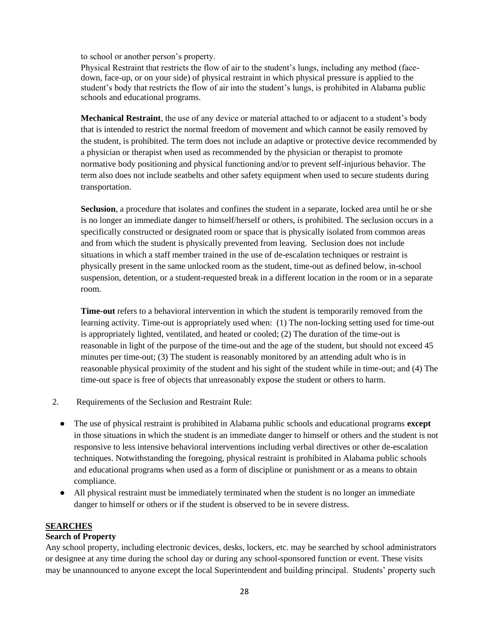to school or another person's property.

Physical Restraint that restricts the flow of air to the student's lungs, including any method (facedown, face-up, or on your side) of physical restraint in which physical pressure is applied to the student's body that restricts the flow of air into the student's lungs, is prohibited in Alabama public schools and educational programs.

**Mechanical Restraint**, the use of any device or material attached to or adjacent to a student's body that is intended to restrict the normal freedom of movement and which cannot be easily removed by the student, is prohibited. The term does not include an adaptive or protective device recommended by a physician or therapist when used as recommended by the physician or therapist to promote normative body positioning and physical functioning and/or to prevent self-injurious behavior. The term also does not include seatbelts and other safety equipment when used to secure students during transportation.

**Seclusion**, a procedure that isolates and confines the student in a separate, locked area until he or she is no longer an immediate danger to himself/herself or others, is prohibited. The seclusion occurs in a specifically constructed or designated room or space that is physically isolated from common areas and from which the student is physically prevented from leaving. Seclusion does not include situations in which a staff member trained in the use of de-escalation techniques or restraint is physically present in the same unlocked room as the student, time-out as defined below, in-school suspension, detention, or a student-requested break in a different location in the room or in a separate room.

**Time-out** refers to a behavioral intervention in which the student is temporarily removed from the learning activity. Time-out is appropriately used when: (1) The non-locking setting used for time-out is appropriately lighted, ventilated, and heated or cooled; (2) The duration of the time-out is reasonable in light of the purpose of the time-out and the age of the student, but should not exceed 45 minutes per time-out; (3) The student is reasonably monitored by an attending adult who is in reasonable physical proximity of the student and his sight of the student while in time-out; and (4) The time-out space is free of objects that unreasonably expose the student or others to harm.

- 2. Requirements of the Seclusion and Restraint Rule:
	- The use of physical restraint is prohibited in Alabama public schools and educational programs **except**  in those situations in which the student is an immediate danger to himself or others and the student is not responsive to less intensive behavioral interventions including verbal directives or other de-escalation techniques. Notwithstanding the foregoing, physical restraint is prohibited in Alabama public schools and educational programs when used as a form of discipline or punishment or as a means to obtain compliance.
	- All physical restraint must be immediately terminated when the student is no longer an immediate danger to himself or others or if the student is observed to be in severe distress.

#### **SEARCHES**

#### **Search of Property**

Any school property, including electronic devices, desks, lockers, etc. may be searched by school administrators or designee at any time during the school day or during any school-sponsored function or event. These visits may be unannounced to anyone except the local Superintendent and building principal. Students' property such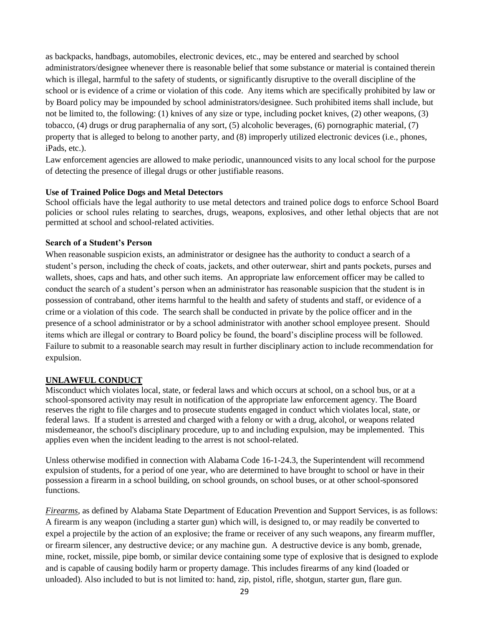as backpacks, handbags, automobiles, electronic devices, etc., may be entered and searched by school administrators/designee whenever there is reasonable belief that some substance or material is contained therein which is illegal, harmful to the safety of students, or significantly disruptive to the overall discipline of the school or is evidence of a crime or violation of this code. Any items which are specifically prohibited by law or by Board policy may be impounded by school administrators/designee. Such prohibited items shall include, but not be limited to, the following: (1) knives of any size or type, including pocket knives, (2) other weapons, (3) tobacco, (4) drugs or drug paraphernalia of any sort, (5) alcoholic beverages, (6) pornographic material, (7) property that is alleged to belong to another party, and (8) improperly utilized electronic devices (i.e., phones, iPads, etc.).

Law enforcement agencies are allowed to make periodic, unannounced visits to any local school for the purpose of detecting the presence of illegal drugs or other justifiable reasons.

#### **Use of Trained Police Dogs and Metal Detectors**

School officials have the legal authority to use metal detectors and trained police dogs to enforce School Board policies or school rules relating to searches, drugs, weapons, explosives, and other lethal objects that are not permitted at school and school-related activities.

#### **Search of a Student's Person**

When reasonable suspicion exists, an administrator or designee has the authority to conduct a search of a student's person, including the check of coats, jackets, and other outerwear, shirt and pants pockets, purses and wallets, shoes, caps and hats, and other such items. An appropriate law enforcement officer may be called to conduct the search of a student's person when an administrator has reasonable suspicion that the student is in possession of contraband, other items harmful to the health and safety of students and staff, or evidence of a crime or a violation of this code. The search shall be conducted in private by the police officer and in the presence of a school administrator or by a school administrator with another school employee present. Should items which are illegal or contrary to Board policy be found, the board's discipline process will be followed. Failure to submit to a reasonable search may result in further disciplinary action to include recommendation for expulsion.

#### **UNLAWFUL CONDUCT**

Misconduct which violates local, state, or federal laws and which occurs at school, on a school bus, or at a school-sponsored activity may result in notification of the appropriate law enforcement agency. The Board reserves the right to file charges and to prosecute students engaged in conduct which violates local, state, or federal laws. If a student is arrested and charged with a felony or with a drug, alcohol, or weapons related misdemeanor, the school's disciplinary procedure, up to and including expulsion, may be implemented. This applies even when the incident leading to the arrest is not school-related.

Unless otherwise modified in connection with Alabama Code 16-1-24.3, the Superintendent will recommend expulsion of students, for a period of one year, who are determined to have brought to school or have in their possession a firearm in a school building, on school grounds, on school buses, or at other school-sponsored functions.

*Firearms*, as defined by Alabama State Department of Education Prevention and Support Services, is as follows: A firearm is any weapon (including a starter gun) which will, is designed to, or may readily be converted to expel a projectile by the action of an explosive; the frame or receiver of any such weapons, any firearm muffler, or firearm silencer, any destructive device; or any machine gun. A destructive device is any bomb, grenade, mine, rocket, missile, pipe bomb, or similar device containing some type of explosive that is designed to explode and is capable of causing bodily harm or property damage. This includes firearms of any kind (loaded or unloaded). Also included to but is not limited to: hand, zip, pistol, rifle, shotgun, starter gun, flare gun.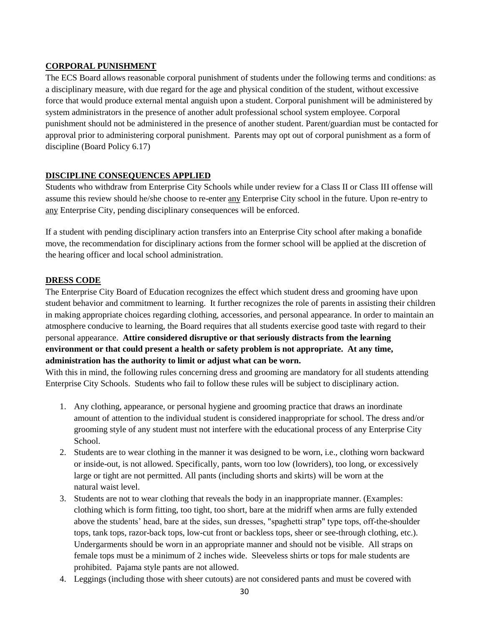#### **CORPORAL PUNISHMENT**

The ECS Board allows reasonable corporal punishment of students under the following terms and conditions: as a disciplinary measure, with due regard for the age and physical condition of the student, without excessive force that would produce external mental anguish upon a student. Corporal punishment will be administered by system administrators in the presence of another adult professional school system employee. Corporal punishment should not be administered in the presence of another student. Parent/guardian must be contacted for approval prior to administering corporal punishment. Parents may opt out of corporal punishment as a form of discipline (Board Policy 6.17)

#### **DISCIPLINE CONSEQUENCES APPLIED**

Students who withdraw from Enterprise City Schools while under review for a Class II or Class III offense will assume this review should he/she choose to re-enter any Enterprise City school in the future. Upon re-entry to any Enterprise City, pending disciplinary consequences will be enforced.

If a student with pending disciplinary action transfers into an Enterprise City school after making a bonafide move, the recommendation for disciplinary actions from the former school will be applied at the discretion of the hearing officer and local school administration.

#### **DRESS CODE**

The Enterprise City Board of Education recognizes the effect which student dress and grooming have upon student behavior and commitment to learning. It further recognizes the role of parents in assisting their children in making appropriate choices regarding clothing, accessories, and personal appearance. In order to maintain an atmosphere conducive to learning, the Board requires that all students exercise good taste with regard to their personal appearance. **Attire considered disruptive or that seriously distracts from the learning environment or that could present a health or safety problem is not appropriate. At any time, administration has the authority to limit or adjust what can be worn.**

With this in mind, the following rules concerning dress and grooming are mandatory for all students attending Enterprise City Schools. Students who fail to follow these rules will be subject to disciplinary action.

- 1. Any clothing, appearance, or personal hygiene and grooming practice that draws an inordinate amount of attention to the individual student is considered inappropriate for school. The dress and/or grooming style of any student must not interfere with the educational process of any Enterprise City School.
- 2. Students are to wear clothing in the manner it was designed to be worn, i.e., clothing worn backward or inside-out, is not allowed. Specifically, pants, worn too low (lowriders), too long, or excessively large or tight are not permitted. All pants (including shorts and skirts) will be worn at the natural waist level.
- 3. Students are not to wear clothing that reveals the body in an inappropriate manner. (Examples: clothing which is form fitting, too tight, too short, bare at the midriff when arms are fully extended above the students' head, bare at the sides, sun dresses, "spaghetti strap" type tops, off-the-shoulder tops, tank tops, razor-back tops, low-cut front or backless tops, sheer or see-through clothing, etc.). Undergarments should be worn in an appropriate manner and should not be visible. All straps on female tops must be a minimum of 2 inches wide. Sleeveless shirts or tops for male students are prohibited. Pajama style pants are not allowed.
- 4. Leggings (including those with sheer cutouts) are not considered pants and must be covered with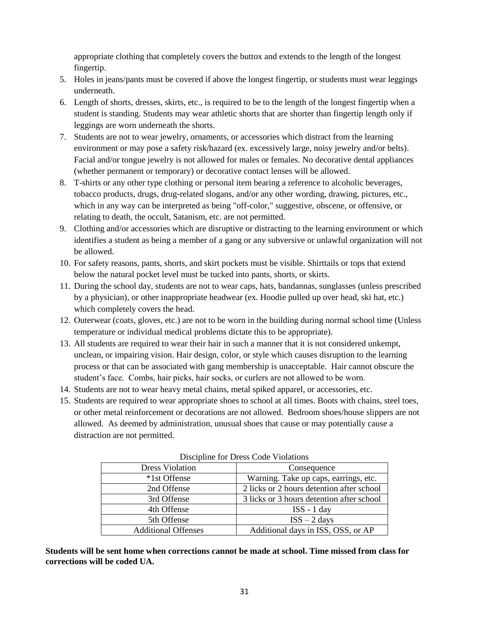appropriate clothing that completely covers the buttox and extends to the length of the longest fingertip.

- 5. Holes in jeans/pants must be covered if above the longest fingertip, or students must wear leggings underneath.
- 6. Length of shorts, dresses, skirts, etc., is required to be to the length of the longest fingertip when a student is standing. Students may wear athletic shorts that are shorter than fingertip length only if leggings are worn underneath the shorts.
- 7. Students are not to wear jewelry, ornaments, or accessories which distract from the learning environment or may pose a safety risk/hazard (ex. excessively large, noisy jewelry and/or belts). Facial and/or tongue jewelry is not allowed for males or females. No decorative dental appliances (whether permanent or temporary) or decorative contact lenses will be allowed.
- 8. T-shirts or any other type clothing or personal item bearing a reference to alcoholic beverages, tobacco products, drugs, drug-related slogans, and/or any other wording, drawing, pictures, etc., which in any way can be interpreted as being "off-color," suggestive, obscene, or offensive, or relating to death, the occult, Satanism, etc. are not permitted.
- 9. Clothing and/or accessories which are disruptive or distracting to the learning environment or which identifies a student as being a member of a gang or any subversive or unlawful organization will not be allowed.
- 10. For safety reasons, pants, shorts, and skirt pockets must be visible. Shirttails or tops that extend below the natural pocket level must be tucked into pants, shorts, or skirts.
- 11. During the school day, students are not to wear caps, hats, bandannas, sunglasses (unless prescribed by a physician), or other inappropriate headwear (ex. Hoodie pulled up over head, ski hat, etc.) which completely covers the head.
- 12. Outerwear (coats, gloves, etc.) are not to be worn in the building during normal school time (Unless temperature or individual medical problems dictate this to be appropriate).
- 13. All students are required to wear their hair in such a manner that it is not considered unkempt, unclean, or impairing vision. Hair design, color, or style which causes disruption to the learning process or that can be associated with gang membership is unacceptable. Hair cannot obscure the student's face. Combs, hair picks, hair socks, or curlers are not allowed to be worn.
- 14. Students are not to wear heavy metal chains, metal spiked apparel, or accessories, etc.
- 15. Students are required to wear appropriate shoes to school at all times. Boots with chains, steel toes, or other metal reinforcement or decorations are not allowed. Bedroom shoes/house slippers are not allowed. As deemed by administration, unusual shoes that cause or may potentially cause a distraction are not permitted.

| Discipline for Dress Code Violations |                                           |  |
|--------------------------------------|-------------------------------------------|--|
| <b>Dress Violation</b>               | Consequence                               |  |
| *1st Offense                         | Warning. Take up caps, earrings, etc.     |  |
| 2nd Offense                          | 2 licks or 2 hours detention after school |  |
| 3rd Offense                          | 3 licks or 3 hours detention after school |  |
| 4th Offense                          | $ISS - 1 day$                             |  |
| 5th Offense                          | $ISS - 2 days$                            |  |
| <b>Additional Offenses</b>           | Additional days in ISS, OSS, or AP        |  |

| Discipline for Dress Code Violations |  |  |
|--------------------------------------|--|--|
|                                      |  |  |

**Students will be sent home when corrections cannot be made at school. Time missed from class for corrections will be coded UA.**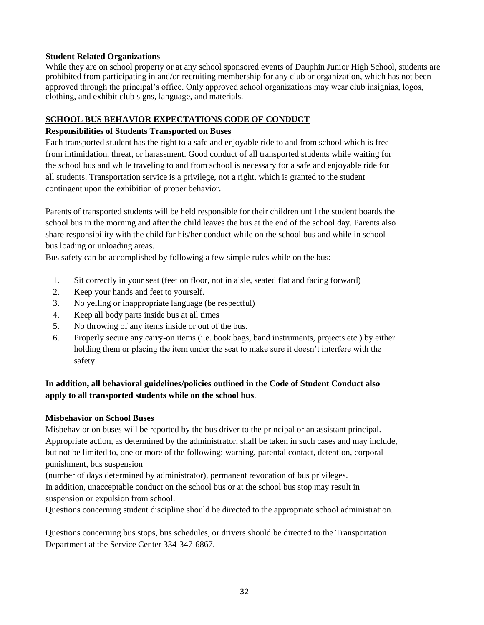#### **Student Related Organizations**

While they are on school property or at any school sponsored events of Dauphin Junior High School, students are prohibited from participating in and/or recruiting membership for any club or organization, which has not been approved through the principal's office. Only approved school organizations may wear club insignias, logos, clothing, and exhibit club signs, language, and materials.

#### **SCHOOL BUS BEHAVIOR EXPECTATIONS CODE OF CONDUCT**

#### **Responsibilities of Students Transported on Buses**

Each transported student has the right to a safe and enjoyable ride to and from school which is free from intimidation, threat, or harassment. Good conduct of all transported students while waiting for the school bus and while traveling to and from school is necessary for a safe and enjoyable ride for all students. Transportation service is a privilege, not a right, which is granted to the student contingent upon the exhibition of proper behavior.

Parents of transported students will be held responsible for their children until the student boards the school bus in the morning and after the child leaves the bus at the end of the school day. Parents also share responsibility with the child for his/her conduct while on the school bus and while in school bus loading or unloading areas.

Bus safety can be accomplished by following a few simple rules while on the bus:

- 1. Sit correctly in your seat (feet on floor, not in aisle, seated flat and facing forward)
- 2. Keep your hands and feet to yourself.
- 3. No yelling or inappropriate language (be respectful)
- 4. Keep all body parts inside bus at all times
- 5. No throwing of any items inside or out of the bus.
- 6. Properly secure any carry-on items (i.e. book bags, band instruments, projects etc.) by either holding them or placing the item under the seat to make sure it doesn't interfere with the safety

### **In addition, all behavioral guidelines/policies outlined in the Code of Student Conduct also apply to all transported students while on the school bus**.

#### **Misbehavior on School Buses**

Misbehavior on buses will be reported by the bus driver to the principal or an assistant principal. Appropriate action, as determined by the administrator, shall be taken in such cases and may include, but not be limited to, one or more of the following: warning, parental contact, detention, corporal punishment, bus suspension

(number of days determined by administrator), permanent revocation of bus privileges. In addition, unacceptable conduct on the school bus or at the school bus stop may result in suspension or expulsion from school.

Questions concerning student discipline should be directed to the appropriate school administration.

Questions concerning bus stops, bus schedules, or drivers should be directed to the Transportation Department at the Service Center 334-347-6867.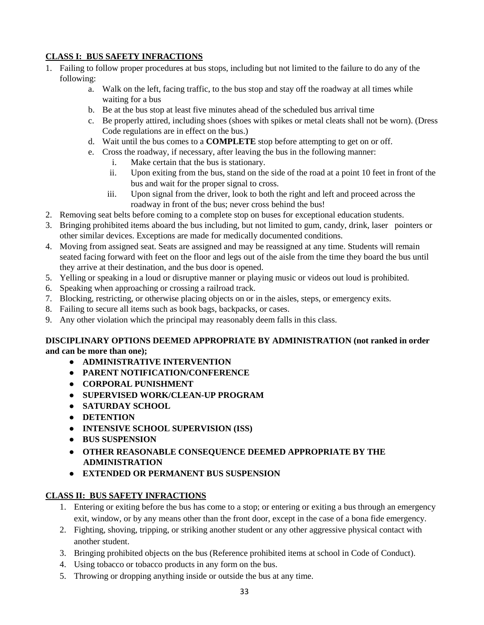## **CLASS I: BUS SAFETY INFRACTIONS**

- 1. Failing to follow proper procedures at bus stops, including but not limited to the failure to do any of the following:
	- a. Walk on the left, facing traffic, to the bus stop and stay off the roadway at all times while waiting for a bus
	- b. Be at the bus stop at least five minutes ahead of the scheduled bus arrival time
	- c. Be properly attired, including shoes (shoes with spikes or metal cleats shall not be worn). (Dress Code regulations are in effect on the bus.)
	- d. Wait until the bus comes to a **COMPLETE** stop before attempting to get on or off.
	- e. Cross the roadway, if necessary, after leaving the bus in the following manner:
		- i. Make certain that the bus is stationary.
		- ii. Upon exiting from the bus, stand on the side of the road at a point 10 feet in front of the bus and wait for the proper signal to cross.
		- iii. Upon signal from the driver, look to both the right and left and proceed across the roadway in front of the bus; never cross behind the bus!
- 2. Removing seat belts before coming to a complete stop on buses for exceptional education students.
- 3. Bringing prohibited items aboard the bus including, but not limited to gum, candy, drink, laser pointers or other similar devices. Exceptions are made for medically documented conditions.
- 4. Moving from assigned seat. Seats are assigned and may be reassigned at any time. Students will remain seated facing forward with feet on the floor and legs out of the aisle from the time they board the bus until they arrive at their destination, and the bus door is opened.
- 5. Yelling or speaking in a loud or disruptive manner or playing music or videos out loud is prohibited.
- 6. Speaking when approaching or crossing a railroad track.
- 7. Blocking, restricting, or otherwise placing objects on or in the aisles, steps, or emergency exits.
- 8. Failing to secure all items such as book bags, backpacks, or cases.
- 9. Any other violation which the principal may reasonably deem falls in this class.

### **DISCIPLINARY OPTIONS DEEMED APPROPRIATE BY ADMINISTRATION (not ranked in order and can be more than one);**

- **ADMINISTRATIVE INTERVENTION**
- **PARENT NOTIFICATION/CONFERENCE**
- **CORPORAL PUNISHMENT**
- **SUPERVISED WORK/CLEAN-UP PROGRAM**
- **SATURDAY SCHOOL**
- **DETENTION**
- **INTENSIVE SCHOOL SUPERVISION (ISS)**
- **BUS SUSPENSION**
- **OTHER REASONABLE CONSEQUENCE DEEMED APPROPRIATE BY THE ADMINISTRATION**
- **EXTENDED OR PERMANENT BUS SUSPENSION**

## **CLASS II: BUS SAFETY INFRACTIONS**

- 1. Entering or exiting before the bus has come to a stop; or entering or exiting a bus through an emergency exit, window, or by any means other than the front door, except in the case of a bona fide emergency.
- 2. Fighting, shoving, tripping, or striking another student or any other aggressive physical contact with another student.
- 3. Bringing prohibited objects on the bus (Reference prohibited items at school in Code of Conduct).
- 4. Using tobacco or tobacco products in any form on the bus.
- 5. Throwing or dropping anything inside or outside the bus at any time.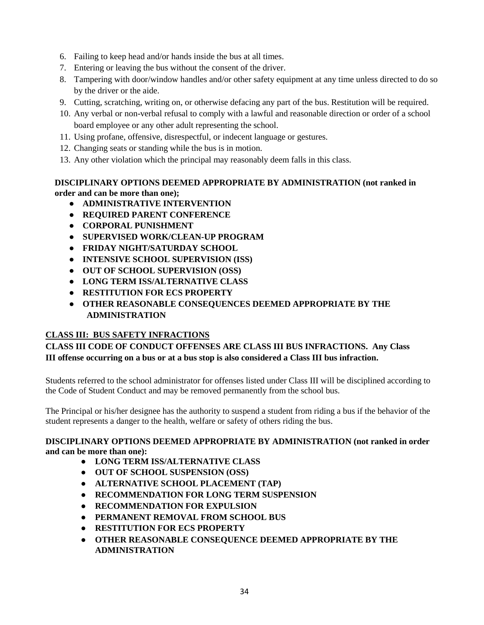- 6. Failing to keep head and/or hands inside the bus at all times.
- 7. Entering or leaving the bus without the consent of the driver.
- 8. Tampering with door/window handles and/or other safety equipment at any time unless directed to do so by the driver or the aide.
- 9. Cutting, scratching, writing on, or otherwise defacing any part of the bus. Restitution will be required.
- 10. Any verbal or non-verbal refusal to comply with a lawful and reasonable direction or order of a school board employee or any other adult representing the school.
- 11. Using profane, offensive, disrespectful, or indecent language or gestures.
- 12. Changing seats or standing while the bus is in motion.
- 13. Any other violation which the principal may reasonably deem falls in this class.

## **DISCIPLINARY OPTIONS DEEMED APPROPRIATE BY ADMINISTRATION (not ranked in order and can be more than one);**

- **ADMINISTRATIVE INTERVENTION**
- **REQUIRED PARENT CONFERENCE**
- **CORPORAL PUNISHMENT**
- **SUPERVISED WORK/CLEAN-UP PROGRAM**
- **FRIDAY NIGHT/SATURDAY SCHOOL**
- **INTENSIVE SCHOOL SUPERVISION (ISS)**
- **OUT OF SCHOOL SUPERVISION (OSS)**
- **LONG TERM ISS/ALTERNATIVE CLASS**
- **RESTITUTION FOR ECS PROPERTY**
- **OTHER REASONABLE CONSEQUENCES DEEMED APPROPRIATE BY THE ADMINISTRATION**

## **CLASS III: BUS SAFETY INFRACTIONS**

### **CLASS III CODE OF CONDUCT OFFENSES ARE CLASS III BUS INFRACTIONS. Any Class III offense occurring on a bus or at a bus stop is also considered a Class III bus infraction.**

Students referred to the school administrator for offenses listed under Class III will be disciplined according to the Code of Student Conduct and may be removed permanently from the school bus.

The Principal or his/her designee has the authority to suspend a student from riding a bus if the behavior of the student represents a danger to the health, welfare or safety of others riding the bus.

#### **DISCIPLINARY OPTIONS DEEMED APPROPRIATE BY ADMINISTRATION (not ranked in order and can be more than one):**

- **LONG TERM ISS/ALTERNATIVE CLASS**
- **OUT OF SCHOOL SUSPENSION (OSS)**
- **ALTERNATIVE SCHOOL PLACEMENT (TAP)**
- **RECOMMENDATION FOR LONG TERM SUSPENSION**
- **RECOMMENDATION FOR EXPULSION**
- **PERMANENT REMOVAL FROM SCHOOL BUS**
- **RESTITUTION FOR ECS PROPERTY**
- **OTHER REASONABLE CONSEQUENCE DEEMED APPROPRIATE BY THE ADMINISTRATION**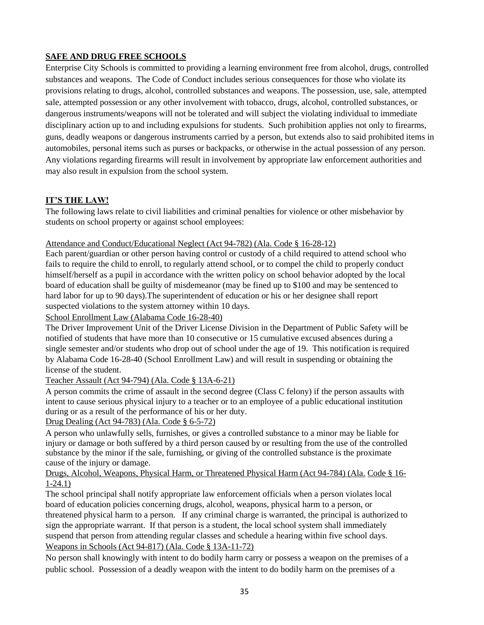## **SAFE AND DRUG FREE SCHOOLS**

Enterprise City Schools is committed to providing a learning environment free from alcohol, drugs, controlled substances and weapons. The Code of Conduct includes serious consequences for those who violate its provisions relating to drugs, alcohol, controlled substances and weapons. The possession, use, sale, attempted sale, attempted possession or any other involvement with tobacco, drugs, alcohol, controlled substances, or dangerous instruments/weapons will not be tolerated and will subject the violating individual to immediate disciplinary action up to and including expulsions for students. Such prohibition applies not only to firearms, guns, deadly weapons or dangerous instruments carried by a person, but extends also to said prohibited items in automobiles, personal items such as purses or backpacks, or otherwise in the actual possession of any person. Any violations regarding firearms will result in involvement by appropriate law enforcement authorities and may also result in expulsion from the school system.

### **IT'S THE LAW!**

The following laws relate to civil liabilities and criminal penalties for violence or other misbehavior by students on school property or against school employees:

#### Attendance and Conduct/Educational Neglect (Act 94-782) (Ala. Code § 16-28-12)

Each parent/guardian or other person having control or custody of a child required to attend school who fails to require the child to enroll, to regularly attend school, or to compel the child to properly conduct himself/herself as a pupil in accordance with the written policy on school behavior adopted by the local board of education shall be guilty of misdemeanor (may be fined up to \$100 and may be sentenced to hard labor for up to 90 days).The superintendent of education or his or her designee shall report suspected violations to the system attorney within 10 days.

School Enrollment Law (Alabama Code 16-28-40)

The Driver Improvement Unit of the Driver License Division in the Department of Public Safety will be notified of students that have more than 10 consecutive or 15 cumulative excused absences during a single semester and/or students who drop out of school under the age of 19. This notification is required by Alabama Code 16-28-40 (School Enrollment Law) and will result in suspending or obtaining the license of the student.

Teacher Assault (Act 94-794) (Ala. Code § 13A-6-21)

A person commits the crime of assault in the second degree (Class C felony) if the person assaults with intent to cause serious physical injury to a teacher or to an employee of a public educational institution during or as a result of the performance of his or her duty.

Drug Dealing (Act 94-783) (Ala. Code § 6-5-72)

A person who unlawfully sells, furnishes, or gives a controlled substance to a minor may be liable for injury or damage or both suffered by a third person caused by or resulting from the use of the controlled substance by the minor if the sale, furnishing, or giving of the controlled substance is the proximate cause of the injury or damage.

Drugs, Alcohol, Weapons, Physical Harm, or Threatened Physical Harm (Act 94-784) (Ala. Code § 16- 1-24.1)

The school principal shall notify appropriate law enforcement officials when a person violates local board of education policies concerning drugs, alcohol, weapons, physical harm to a person, or threatened physical harm to a person. If any criminal charge is warranted, the principal is authorized to sign the appropriate warrant. If that person is a student, the local school system shall immediately suspend that person from attending regular classes and schedule a hearing within five school days. Weapons in Schools (Act 94-817) (Ala. Code § 13A-11-72)

No person shall knowingly with intent to do bodily harm carry or possess a weapon on the premises of a public school. Possession of a deadly weapon with the intent to do bodily harm on the premises of a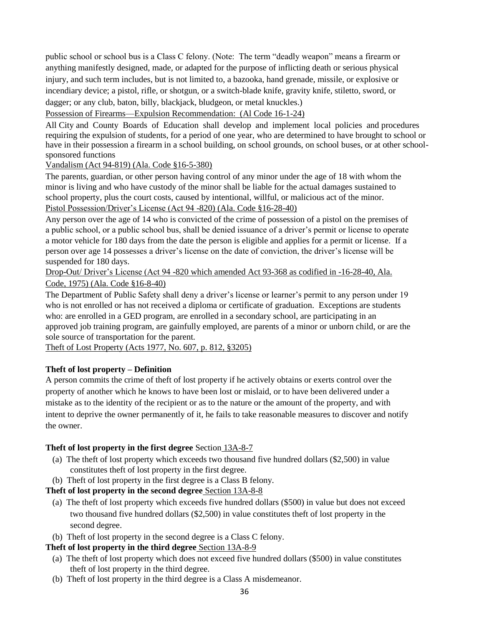public school or school bus is a Class C felony. (Note: The term "deadly weapon" means a firearm or anything manifestly designed, made, or adapted for the purpose of inflicting death or serious physical injury, and such term includes, but is not limited to, a bazooka, hand grenade, missile, or explosive or incendiary device; a pistol, rifle, or shotgun, or a switch-blade knife, gravity knife, stiletto, sword, or dagger; or any club, baton, billy, blackjack, bludgeon, or metal knuckles.)

Possession of Firearms—Expulsion Recommendation: (Al Code 16-1-24)

All City and County Boards of Education shall develop and implement local policies and procedures requiring the expulsion of students, for a period of one year, who are determined to have brought to school or have in their possession a firearm in a school building, on school grounds, on school buses, or at other schoolsponsored functions

#### Vandalism (Act 94-819) (Ala. Code §16-5-380)

The parents, guardian, or other person having control of any minor under the age of 18 with whom the minor is living and who have custody of the minor shall be liable for the actual damages sustained to school property, plus the court costs, caused by intentional, willful, or malicious act of the minor. Pistol Possession/Driver's License (Act 94 -820) (Ala. Code §16-28-40)

Any person over the age of 14 who is convicted of the crime of possession of a pistol on the premises of a public school, or a public school bus, shall be denied issuance of a driver's permit or license to operate a motor vehicle for 180 days from the date the person is eligible and applies for a permit or license. If a person over age 14 possesses a driver's license on the date of conviction, the driver's license will be suspended for 180 days.

Drop-Out/ Driver's License (Act 94 -820 which amended Act 93-368 as codified in -16-28-40, Ala.

Code, 1975) (Ala. Code §16-8-40)

The Department of Public Safety shall deny a driver's license or learner's permit to any person under 19 who is not enrolled or has not received a diploma or certificate of graduation. Exceptions are students who: are enrolled in a GED program, are enrolled in a secondary school, are participating in an approved job training program, are gainfully employed, are parents of a minor or unborn child, or are the sole source of transportation for the parent.

Theft of Lost Property (Acts 1977, No. 607, p. 812, §3205)

## **Theft of lost property – Definition**

A person commits the crime of theft of lost property if he actively obtains or exerts control over the property of another which he knows to have been lost or mislaid, or to have been delivered under a mistake as to the identity of the recipient or as to the nature or the amount of the property, and with intent to deprive the owner permanently of it, he fails to take reasonable measures to discover and notify the owner.

## **Theft of lost property in the first degree** Section 13A-8-7

- (a) The theft of lost property which exceeds two thousand five hundred dollars (\$2,500) in value constitutes theft of lost property in the first degree.
- (b) Theft of lost property in the first degree is a Class B felony.

**Theft of lost property in the second degree** Section 13A-8-8

- (a) The theft of lost property which exceeds five hundred dollars (\$500) in value but does not exceed two thousand five hundred dollars (\$2,500) in value constitutes theft of lost property in the second degree.
- (b) Theft of lost property in the second degree is a Class C felony.

## **Theft of lost property in the third degree** Section 13A-8-9

- (a) The theft of lost property which does not exceed five hundred dollars (\$500) in value constitutes theft of lost property in the third degree.
- (b) Theft of lost property in the third degree is a Class A misdemeanor.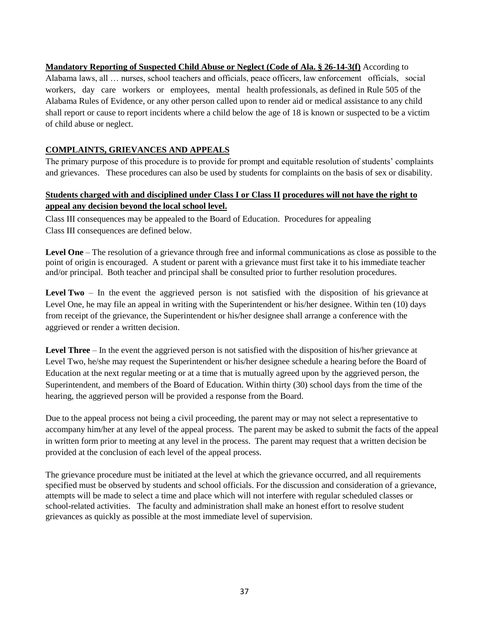**Mandatory Reporting of Suspected Child Abuse or Neglect (Code of Ala. § 26-14-3(f)** According to Alabama laws, all … nurses, school teachers and officials, peace officers, law enforcement officials, social workers, day care workers or employees, mental health professionals, as defined in Rule 505 of the Alabama Rules of Evidence, or any other person called upon to render aid or medical assistance to any child shall report or cause to report incidents where a child below the age of 18 is known or suspected to be a victim of child abuse or neglect.

## **COMPLAINTS, GRIEVANCES AND APPEALS**

The primary purpose of this procedure is to provide for prompt and equitable resolution of students' complaints and grievances. These procedures can also be used by students for complaints on the basis of sex or disability.

#### **Students charged with and disciplined under Class I or Class II procedures will not have the right to appeal any decision beyond the local school level.**

Class III consequences may be appealed to the Board of Education. Procedures for appealing Class III consequences are defined below.

**Level One** – The resolution of a grievance through free and informal communications as close as possible to the point of origin is encouraged. A student or parent with a grievance must first take it to his immediate teacher and/or principal. Both teacher and principal shall be consulted prior to further resolution procedures.

Level Two – In the event the aggrieved person is not satisfied with the disposition of his grievance at Level One, he may file an appeal in writing with the Superintendent or his/her designee. Within ten (10) days from receipt of the grievance, the Superintendent or his/her designee shall arrange a conference with the aggrieved or render a written decision.

**Level Three** – In the event the aggrieved person is not satisfied with the disposition of his/her grievance at Level Two, he/she may request the Superintendent or his/her designee schedule a hearing before the Board of Education at the next regular meeting or at a time that is mutually agreed upon by the aggrieved person, the Superintendent, and members of the Board of Education. Within thirty (30) school days from the time of the hearing, the aggrieved person will be provided a response from the Board.

Due to the appeal process not being a civil proceeding, the parent may or may not select a representative to accompany him/her at any level of the appeal process. The parent may be asked to submit the facts of the appeal in written form prior to meeting at any level in the process. The parent may request that a written decision be provided at the conclusion of each level of the appeal process.

The grievance procedure must be initiated at the level at which the grievance occurred, and all requirements specified must be observed by students and school officials. For the discussion and consideration of a grievance, attempts will be made to select a time and place which will not interfere with regular scheduled classes or school-related activities. The faculty and administration shall make an honest effort to resolve student grievances as quickly as possible at the most immediate level of supervision.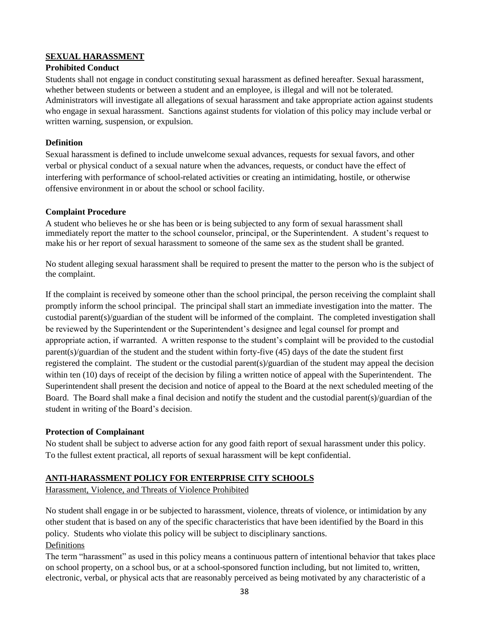## **SEXUAL HARASSMENT**

#### **Prohibited Conduct**

Students shall not engage in conduct constituting sexual harassment as defined hereafter. Sexual harassment, whether between students or between a student and an employee, is illegal and will not be tolerated. Administrators will investigate all allegations of sexual harassment and take appropriate action against students who engage in sexual harassment. Sanctions against students for violation of this policy may include verbal or written warning, suspension, or expulsion.

#### **Definition**

Sexual harassment is defined to include unwelcome sexual advances, requests for sexual favors, and other verbal or physical conduct of a sexual nature when the advances, requests, or conduct have the effect of interfering with performance of school-related activities or creating an intimidating, hostile, or otherwise offensive environment in or about the school or school facility.

#### **Complaint Procedure**

A student who believes he or she has been or is being subjected to any form of sexual harassment shall immediately report the matter to the school counselor, principal, or the Superintendent. A student's request to make his or her report of sexual harassment to someone of the same sex as the student shall be granted.

No student alleging sexual harassment shall be required to present the matter to the person who is the subject of the complaint.

If the complaint is received by someone other than the school principal, the person receiving the complaint shall promptly inform the school principal. The principal shall start an immediate investigation into the matter. The custodial parent(s)/guardian of the student will be informed of the complaint. The completed investigation shall be reviewed by the Superintendent or the Superintendent's designee and legal counsel for prompt and appropriate action, if warranted. A written response to the student's complaint will be provided to the custodial parent(s)/guardian of the student and the student within forty-five (45) days of the date the student first registered the complaint. The student or the custodial parent(s)/guardian of the student may appeal the decision within ten (10) days of receipt of the decision by filing a written notice of appeal with the Superintendent. The Superintendent shall present the decision and notice of appeal to the Board at the next scheduled meeting of the Board. The Board shall make a final decision and notify the student and the custodial parent(s)/guardian of the student in writing of the Board's decision.

#### **Protection of Complainant**

No student shall be subject to adverse action for any good faith report of sexual harassment under this policy. To the fullest extent practical, all reports of sexual harassment will be kept confidential.

#### **ANTI-HARASSMENT POLICY FOR ENTERPRISE CITY SCHOOLS**

Harassment, Violence, and Threats of Violence Prohibited

No student shall engage in or be subjected to harassment, violence, threats of violence, or intimidation by any other student that is based on any of the specific characteristics that have been identified by the Board in this policy. Students who violate this policy will be subject to disciplinary sanctions. Definitions

The term "harassment" as used in this policy means a continuous pattern of intentional behavior that takes place on school property, on a school bus, or at a school-sponsored function including, but not limited to, written, electronic, verbal, or physical acts that are reasonably perceived as being motivated by any characteristic of a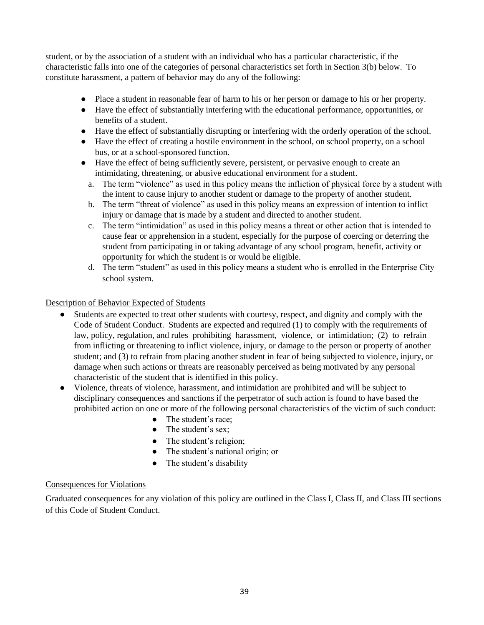student, or by the association of a student with an individual who has a particular characteristic, if the characteristic falls into one of the categories of personal characteristics set forth in Section 3(b) below. To constitute harassment, a pattern of behavior may do any of the following:

- Place a student in reasonable fear of harm to his or her person or damage to his or her property.
- Have the effect of substantially interfering with the educational performance, opportunities, or benefits of a student.
- Have the effect of substantially disrupting or interfering with the orderly operation of the school.
- Have the effect of creating a hostile environment in the school, on school property, on a school bus, or at a school-sponsored function.
- Have the effect of being sufficiently severe, persistent, or pervasive enough to create an intimidating, threatening, or abusive educational environment for a student.
	- a. The term "violence" as used in this policy means the infliction of physical force by a student with the intent to cause injury to another student or damage to the property of another student.
	- b. The term "threat of violence" as used in this policy means an expression of intention to inflict injury or damage that is made by a student and directed to another student.
	- c. The term "intimidation" as used in this policy means a threat or other action that is intended to cause fear or apprehension in a student, especially for the purpose of coercing or deterring the student from participating in or taking advantage of any school program, benefit, activity or opportunity for which the student is or would be eligible.
	- d. The term "student" as used in this policy means a student who is enrolled in the Enterprise City school system.

#### Description of Behavior Expected of Students

- Students are expected to treat other students with courtesy, respect, and dignity and comply with the Code of Student Conduct. Students are expected and required (1) to comply with the requirements of law, policy, regulation, and rules prohibiting harassment, violence, or intimidation; (2) to refrain from inflicting or threatening to inflict violence, injury, or damage to the person or property of another student; and (3) to refrain from placing another student in fear of being subjected to violence, injury, or damage when such actions or threats are reasonably perceived as being motivated by any personal characteristic of the student that is identified in this policy.
- Violence, threats of violence, harassment, and intimidation are prohibited and will be subject to disciplinary consequences and sanctions if the perpetrator of such action is found to have based the prohibited action on one or more of the following personal characteristics of the victim of such conduct:
	- The student's race:
	- The student's sex;
	- The student's religion;
	- The student's national origin; or
	- The student's disability

#### Consequences for Violations

Graduated consequences for any violation of this policy are outlined in the Class I, Class II, and Class III sections of this Code of Student Conduct.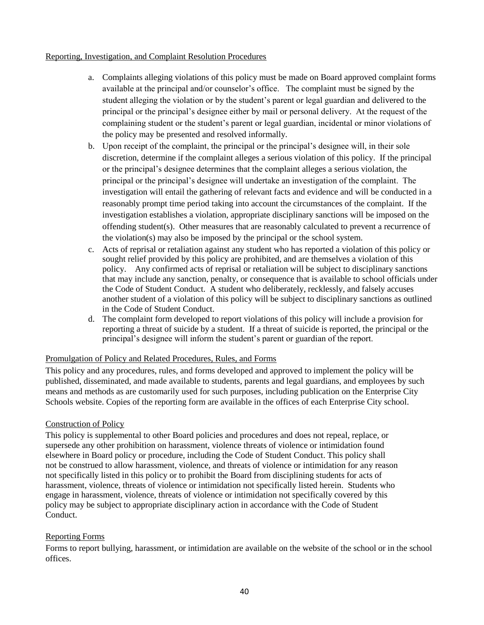#### Reporting, Investigation, and Complaint Resolution Procedures

- a. Complaints alleging violations of this policy must be made on Board approved complaint forms available at the principal and/or counselor's office. The complaint must be signed by the student alleging the violation or by the student's parent or legal guardian and delivered to the principal or the principal's designee either by mail or personal delivery. At the request of the complaining student or the student's parent or legal guardian, incidental or minor violations of the policy may be presented and resolved informally.
- b. Upon receipt of the complaint, the principal or the principal's designee will, in their sole discretion, determine if the complaint alleges a serious violation of this policy. If the principal or the principal's designee determines that the complaint alleges a serious violation, the principal or the principal's designee will undertake an investigation of the complaint. The investigation will entail the gathering of relevant facts and evidence and will be conducted in a reasonably prompt time period taking into account the circumstances of the complaint. If the investigation establishes a violation, appropriate disciplinary sanctions will be imposed on the offending student(s). Other measures that are reasonably calculated to prevent a recurrence of the violation(s) may also be imposed by the principal or the school system.
- c. Acts of reprisal or retaliation against any student who has reported a violation of this policy or sought relief provided by this policy are prohibited, and are themselves a violation of this policy. Any confirmed acts of reprisal or retaliation will be subject to disciplinary sanctions that may include any sanction, penalty, or consequence that is available to school officials under the Code of Student Conduct. A student who deliberately, recklessly, and falsely accuses another student of a violation of this policy will be subject to disciplinary sanctions as outlined in the Code of Student Conduct.
- d. The complaint form developed to report violations of this policy will include a provision for reporting a threat of suicide by a student. If a threat of suicide is reported, the principal or the principal's designee will inform the student's parent or guardian of the report.

#### Promulgation of Policy and Related Procedures, Rules, and Forms

This policy and any procedures, rules, and forms developed and approved to implement the policy will be published, disseminated, and made available to students, parents and legal guardians, and employees by such means and methods as are customarily used for such purposes, including publication on the Enterprise City Schools website. Copies of the reporting form are available in the offices of each Enterprise City school.

#### Construction of Policy

This policy is supplemental to other Board policies and procedures and does not repeal, replace, or supersede any other prohibition on harassment, violence threats of violence or intimidation found elsewhere in Board policy or procedure, including the Code of Student Conduct. This policy shall not be construed to allow harassment, violence, and threats of violence or intimidation for any reason not specifically listed in this policy or to prohibit the Board from disciplining students for acts of harassment, violence, threats of violence or intimidation not specifically listed herein. Students who engage in harassment, violence, threats of violence or intimidation not specifically covered by this policy may be subject to appropriate disciplinary action in accordance with the Code of Student Conduct.

#### Reporting Forms

Forms to report bullying, harassment, or intimidation are available on the website of the school or in the school offices.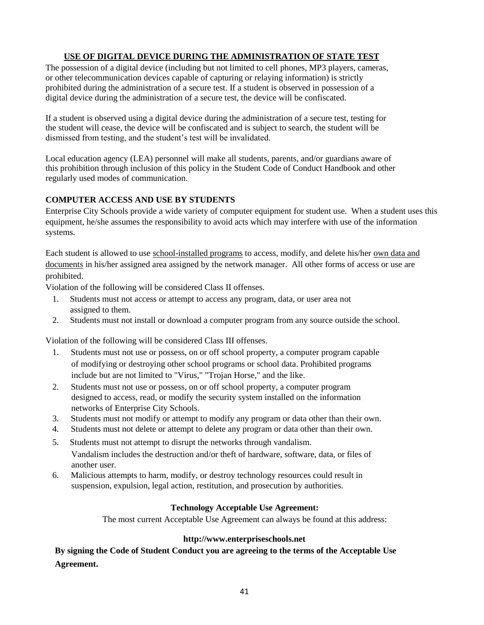## **USE OF DIGITAL DEVICE DURING THE ADMINISTRATION OF STATE TEST**

The possession of a digital device (including but not limited to cell phones, MP3 players, cameras, or other telecommunication devices capable of capturing or relaying information) is strictly prohibited during the administration of a secure test. If a student is observed in possession of a digital device during the administration of a secure test, the device will be confiscated.

If a student is observed using a digital device during the administration of a secure test, testing for the student will cease, the device will be confiscated and is subject to search, the student will be dismissed from testing, and the student's test will be invalidated.

Local education agency (LEA) personnel will make all students, parents, and/or guardians aware of this prohibition through inclusion of this policy in the Student Code of Conduct Handbook and other regularly used modes of communication.

### **COMPUTER ACCESS AND USE BY STUDENTS**

Enterprise City Schools provide a wide variety of computer equipment for student use. When a student uses this equipment, he/she assumes the responsibility to avoid acts which may interfere with use of the information systems.

Each student is allowed to use school-installed programs to access, modify, and delete his/her own data and documents in his/her assigned area assigned by the network manager. All other forms of access or use are prohibited.

Violation of the following will be considered Class II offenses.

- 1. Students must not access or attempt to access any program, data, or user area not assigned to them.
- 2. Students must not install or download a computer program from any source outside the school.

Violation of the following will be considered Class III offenses.

- 1. Students must not use or possess, on or off school property, a computer program capable of modifying or destroying other school programs or school data. Prohibited programs include but are not limited to "Virus," "Trojan Horse," and the like.
- 2. Students must not use or possess, on or off school property, a computer program designed to access, read, or modify the security system installed on the information networks of Enterprise City Schools.
- 3. Students must not modify or attempt to modify any program or data other than their own.
- 4. Students must not delete or attempt to delete any program or data other than their own.
- 5. Students must not attempt to disrupt the networks through vandalism. Vandalism includes the destruction and/or theft of hardware, software, data, or files of another user.
- 6. Malicious attempts to harm, modify, or destroy technology resources could result in suspension, expulsion, legal action, restitution, and prosecution by authorities.

#### **Technology Acceptable Use Agreement:**

The most current Acceptable Use Agreement can always be found at this address:

#### **http://www.enterpriseschools.net**

**By signing the Code of Student Conduct you are agreeing to the terms of the Acceptable Use Agreement.**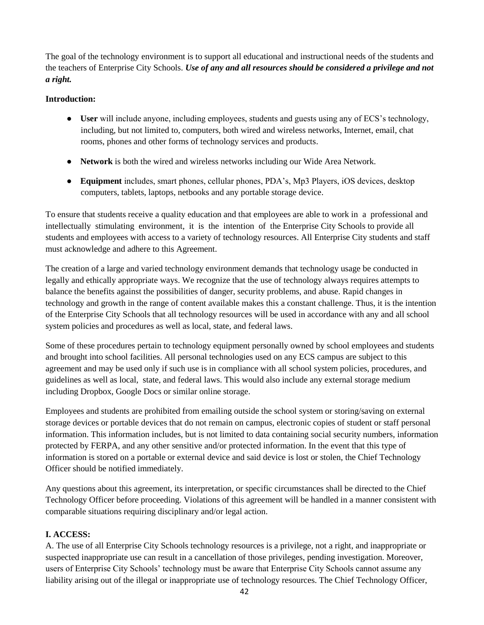The goal of the technology environment is to support all educational and instructional needs of the students and the teachers of Enterprise City Schools. *Use of any and all resources should be considered a privilege and not a right.*

#### **Introduction:**

- **User** will include anyone, including employees, students and guests using any of ECS's technology, including, but not limited to, computers, both wired and wireless networks, Internet, email, chat rooms, phones and other forms of technology services and products.
- **Network** is both the wired and wireless networks including our Wide Area Network.
- **Equipment** includes, smart phones, cellular phones, PDA's, Mp3 Players, iOS devices, desktop computers, tablets, laptops, netbooks and any portable storage device.

To ensure that students receive a quality education and that employees are able to work in a professional and intellectually stimulating environment, it is the intention of the Enterprise City Schools to provide all students and employees with access to a variety of technology resources. All Enterprise City students and staff must acknowledge and adhere to this Agreement.

The creation of a large and varied technology environment demands that technology usage be conducted in legally and ethically appropriate ways. We recognize that the use of technology always requires attempts to balance the benefits against the possibilities of danger, security problems, and abuse. Rapid changes in technology and growth in the range of content available makes this a constant challenge. Thus, it is the intention of the Enterprise City Schools that all technology resources will be used in accordance with any and all school system policies and procedures as well as local, state, and federal laws.

Some of these procedures pertain to technology equipment personally owned by school employees and students and brought into school facilities. All personal technologies used on any ECS campus are subject to this agreement and may be used only if such use is in compliance with all school system policies, procedures, and guidelines as well as local, state, and federal laws. This would also include any external storage medium including Dropbox, Google Docs or similar online storage.

Employees and students are prohibited from emailing outside the school system or storing/saving on external storage devices or portable devices that do not remain on campus, electronic copies of student or staff personal information. This information includes, but is not limited to data containing social security numbers, information protected by FERPA, and any other sensitive and/or protected information. In the event that this type of information is stored on a portable or external device and said device is lost or stolen, the Chief Technology Officer should be notified immediately.

Any questions about this agreement, its interpretation, or specific circumstances shall be directed to the Chief Technology Officer before proceeding. Violations of this agreement will be handled in a manner consistent with comparable situations requiring disciplinary and/or legal action.

#### **I. ACCESS:**

A. The use of all Enterprise City Schools technology resources is a privilege, not a right, and inappropriate or suspected inappropriate use can result in a cancellation of those privileges, pending investigation. Moreover, users of Enterprise City Schools' technology must be aware that Enterprise City Schools cannot assume any liability arising out of the illegal or inappropriate use of technology resources. The Chief Technology Officer,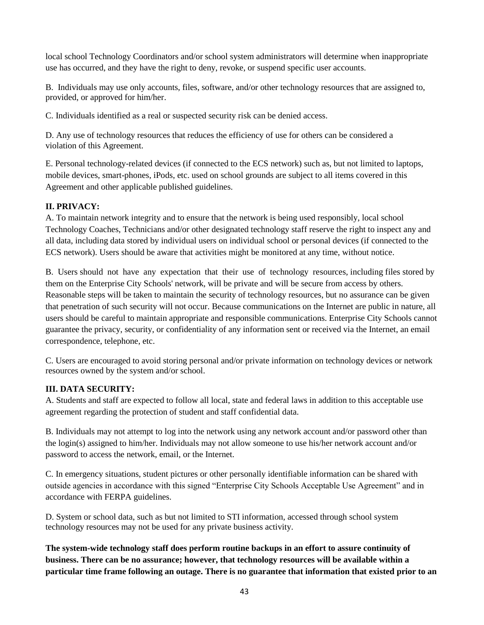local school Technology Coordinators and/or school system administrators will determine when inappropriate use has occurred, and they have the right to deny, revoke, or suspend specific user accounts.

B. Individuals may use only accounts, files, software, and/or other technology resources that are assigned to, provided, or approved for him/her.

C. Individuals identified as a real or suspected security risk can be denied access.

D. Any use of technology resources that reduces the efficiency of use for others can be considered a violation of this Agreement.

E. Personal technology-related devices (if connected to the ECS network) such as, but not limited to laptops, mobile devices, smart-phones, iPods, etc. used on school grounds are subject to all items covered in this Agreement and other applicable published guidelines.

#### **II. PRIVACY:**

A. To maintain network integrity and to ensure that the network is being used responsibly, local school Technology Coaches, Technicians and/or other designated technology staff reserve the right to inspect any and all data, including data stored by individual users on individual school or personal devices (if connected to the ECS network). Users should be aware that activities might be monitored at any time, without notice.

B. Users should not have any expectation that their use of technology resources, including files stored by them on the Enterprise City Schools' network, will be private and will be secure from access by others. Reasonable steps will be taken to maintain the security of technology resources, but no assurance can be given that penetration of such security will not occur. Because communications on the Internet are public in nature, all users should be careful to maintain appropriate and responsible communications. Enterprise City Schools cannot guarantee the privacy, security, or confidentiality of any information sent or received via the Internet, an email correspondence, telephone, etc.

C. Users are encouraged to avoid storing personal and/or private information on technology devices or network resources owned by the system and/or school.

#### **III. DATA SECURITY:**

A. Students and staff are expected to follow all local, state and federal laws in addition to this acceptable use agreement regarding the protection of student and staff confidential data.

B. Individuals may not attempt to log into the network using any network account and/or password other than the login(s) assigned to him/her. Individuals may not allow someone to use his/her network account and/or password to access the network, email, or the Internet.

C. In emergency situations, student pictures or other personally identifiable information can be shared with outside agencies in accordance with this signed "Enterprise City Schools Acceptable Use Agreement" and in accordance with FERPA guidelines.

D. System or school data, such as but not limited to STI information, accessed through school system technology resources may not be used for any private business activity.

**The system-wide technology staff does perform routine backups in an effort to assure continuity of business. There can be no assurance; however, that technology resources will be available within a particular time frame following an outage. There is no guarantee that information that existed prior to an**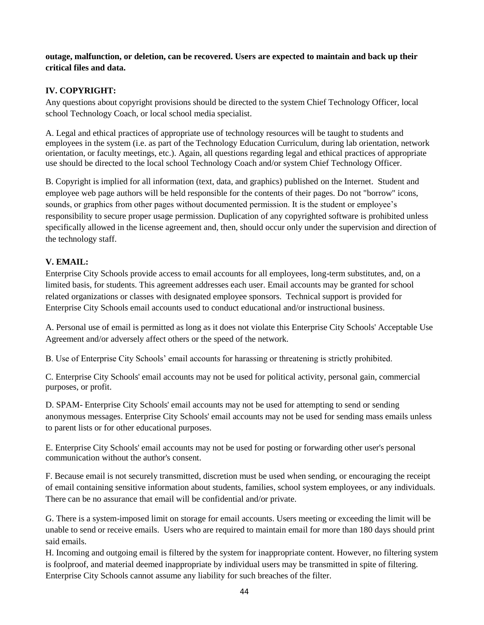#### **outage, malfunction, or deletion, can be recovered. Users are expected to maintain and back up their critical files and data.**

## **IV. COPYRIGHT:**

Any questions about copyright provisions should be directed to the system Chief Technology Officer, local school Technology Coach, or local school media specialist.

A. Legal and ethical practices of appropriate use of technology resources will be taught to students and employees in the system (i.e. as part of the Technology Education Curriculum, during lab orientation, network orientation, or faculty meetings, etc.). Again, all questions regarding legal and ethical practices of appropriate use should be directed to the local school Technology Coach and/or system Chief Technology Officer.

B. Copyright is implied for all information (text, data, and graphics) published on the Internet. Student and employee web page authors will be held responsible for the contents of their pages. Do not "borrow" icons, sounds, or graphics from other pages without documented permission. It is the student or employee's responsibility to secure proper usage permission. Duplication of any copyrighted software is prohibited unless specifically allowed in the license agreement and, then, should occur only under the supervision and direction of the technology staff.

## **V. EMAIL:**

Enterprise City Schools provide access to email accounts for all employees, long-term substitutes, and, on a limited basis, for students. This agreement addresses each user. Email accounts may be granted for school related organizations or classes with designated employee sponsors. Technical support is provided for Enterprise City Schools email accounts used to conduct educational and/or instructional business.

A. Personal use of email is permitted as long as it does not violate this Enterprise City Schools' Acceptable Use Agreement and/or adversely affect others or the speed of the network.

B. Use of Enterprise City Schools' email accounts for harassing or threatening is strictly prohibited.

C. Enterprise City Schools' email accounts may not be used for political activity, personal gain, commercial purposes, or profit.

D. SPAM- Enterprise City Schools' email accounts may not be used for attempting to send or sending anonymous messages. Enterprise City Schools' email accounts may not be used for sending mass emails unless to parent lists or for other educational purposes.

E. Enterprise City Schools' email accounts may not be used for posting or forwarding other user's personal communication without the author's consent.

F. Because email is not securely transmitted, discretion must be used when sending, or encouraging the receipt of email containing sensitive information about students, families, school system employees, or any individuals. There can be no assurance that email will be confidential and/or private.

G. There is a system-imposed limit on storage for email accounts. Users meeting or exceeding the limit will be unable to send or receive emails. Users who are required to maintain email for more than 180 days should print said emails.

H. Incoming and outgoing email is filtered by the system for inappropriate content. However, no filtering system is foolproof, and material deemed inappropriate by individual users may be transmitted in spite of filtering. Enterprise City Schools cannot assume any liability for such breaches of the filter.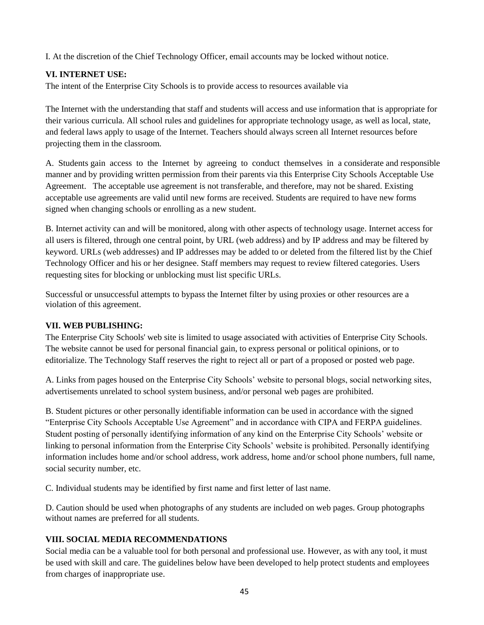I. At the discretion of the Chief Technology Officer, email accounts may be locked without notice.

### **VI. INTERNET USE:**

The intent of the Enterprise City Schools is to provide access to resources available via

The Internet with the understanding that staff and students will access and use information that is appropriate for their various curricula. All school rules and guidelines for appropriate technology usage, as well as local, state, and federal laws apply to usage of the Internet. Teachers should always screen all Internet resources before projecting them in the classroom.

A. Students gain access to the Internet by agreeing to conduct themselves in a considerate and responsible manner and by providing written permission from their parents via this Enterprise City Schools Acceptable Use Agreement. The acceptable use agreement is not transferable, and therefore, may not be shared. Existing acceptable use agreements are valid until new forms are received. Students are required to have new forms signed when changing schools or enrolling as a new student.

B. Internet activity can and will be monitored, along with other aspects of technology usage. Internet access for all users is filtered, through one central point, by URL (web address) and by IP address and may be filtered by keyword. URLs (web addresses) and IP addresses may be added to or deleted from the filtered list by the Chief Technology Officer and his or her designee. Staff members may request to review filtered categories. Users requesting sites for blocking or unblocking must list specific URLs.

Successful or unsuccessful attempts to bypass the Internet filter by using proxies or other resources are a violation of this agreement.

## **VII. WEB PUBLISHING:**

The Enterprise City Schools' web site is limited to usage associated with activities of Enterprise City Schools. The website cannot be used for personal financial gain, to express personal or political opinions, or to editorialize. The Technology Staff reserves the right to reject all or part of a proposed or posted web page.

A. Links from pages housed on the Enterprise City Schools' website to personal blogs, social networking sites, advertisements unrelated to school system business, and/or personal web pages are prohibited.

B. Student pictures or other personally identifiable information can be used in accordance with the signed "Enterprise City Schools Acceptable Use Agreement" and in accordance with CIPA and FERPA guidelines. Student posting of personally identifying information of any kind on the Enterprise City Schools' website or linking to personal information from the Enterprise City Schools' website is prohibited. Personally identifying information includes home and/or school address, work address, home and/or school phone numbers, full name, social security number, etc.

C. Individual students may be identified by first name and first letter of last name.

D. Caution should be used when photographs of any students are included on web pages. Group photographs without names are preferred for all students.

## **VIII. SOCIAL MEDIA RECOMMENDATIONS**

Social media can be a valuable tool for both personal and professional use. However, as with any tool, it must be used with skill and care. The guidelines below have been developed to help protect students and employees from charges of inappropriate use.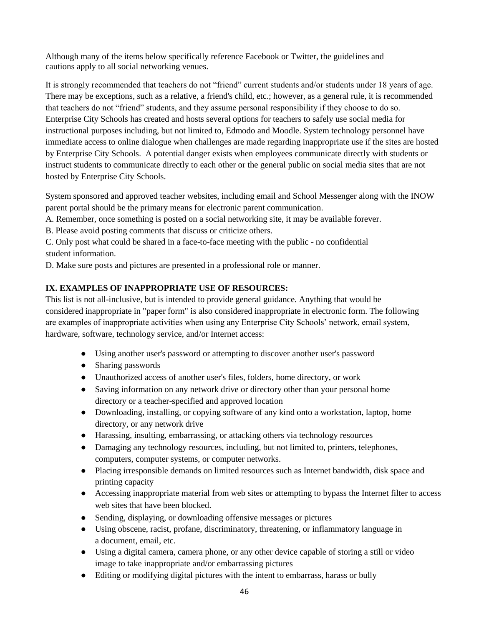Although many of the items below specifically reference Facebook or Twitter, the guidelines and cautions apply to all social networking venues.

It is strongly recommended that teachers do not "friend" current students and/or students under 18 years of age. There may be exceptions, such as a relative, a friend's child, etc.; however, as a general rule, it is recommended that teachers do not "friend" students, and they assume personal responsibility if they choose to do so. Enterprise City Schools has created and hosts several options for teachers to safely use social media for instructional purposes including, but not limited to, Edmodo and Moodle. System technology personnel have immediate access to online dialogue when challenges are made regarding inappropriate use if the sites are hosted by Enterprise City Schools. A potential danger exists when employees communicate directly with students or instruct students to communicate directly to each other or the general public on social media sites that are not hosted by Enterprise City Schools.

System sponsored and approved teacher websites, including email and School Messenger along with the INOW parent portal should be the primary means for electronic parent communication.

- A. Remember, once something is posted on a social networking site, it may be available forever.
- B. Please avoid posting comments that discuss or criticize others.

C. Only post what could be shared in a face-to-face meeting with the public - no confidential student information.

D. Make sure posts and pictures are presented in a professional role or manner.

## **IX. EXAMPLES OF INAPPROPRIATE USE OF RESOURCES:**

This list is not all-inclusive, but is intended to provide general guidance. Anything that would be considered inappropriate in "paper form" is also considered inappropriate in electronic form. The following are examples of inappropriate activities when using any Enterprise City Schools' network, email system, hardware, software, technology service, and/or Internet access:

- Using another user's password or attempting to discover another user's password
- Sharing passwords
- Unauthorized access of another user's files, folders, home directory, or work
- Saving information on any network drive or directory other than your personal home directory or a teacher-specified and approved location
- Downloading, installing, or copying software of any kind onto a workstation, laptop, home directory, or any network drive
- Harassing, insulting, embarrassing, or attacking others via technology resources
- Damaging any technology resources, including, but not limited to, printers, telephones, computers, computer systems, or computer networks.
- Placing irresponsible demands on limited resources such as Internet bandwidth, disk space and printing capacity
- Accessing inappropriate material from web sites or attempting to bypass the Internet filter to access web sites that have been blocked.
- Sending, displaying, or downloading offensive messages or pictures
- Using obscene, racist, profane, discriminatory, threatening, or inflammatory language in a document, email, etc.
- Using a digital camera, camera phone, or any other device capable of storing a still or video image to take inappropriate and/or embarrassing pictures
- Editing or modifying digital pictures with the intent to embarrass, harass or bully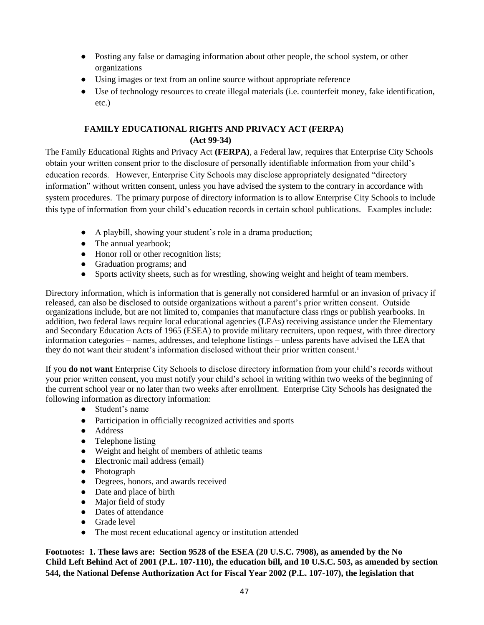- Posting any false or damaging information about other people, the school system, or other organizations
- Using images or text from an online source without appropriate reference
- Use of technology resources to create illegal materials (i.e. counterfeit money, fake identification, etc.)

#### **FAMILY EDUCATIONAL RIGHTS AND PRIVACY ACT (FERPA) (Act 99-34)**

The Family Educational Rights and Privacy Act **(FERPA)**, a Federal law, requires that Enterprise City Schools obtain your written consent prior to the disclosure of personally identifiable information from your child's education records. However, Enterprise City Schools may disclose appropriately designated "directory information" without written consent, unless you have advised the system to the contrary in accordance with system procedures. The primary purpose of directory information is to allow Enterprise City Schools to include this type of information from your child's education records in certain school publications. Examples include:

- A playbill, showing your student's role in a drama production;
- The annual yearbook;
- Honor roll or other recognition lists;
- Graduation programs; and
- Sports activity sheets, such as for wrestling, showing weight and height of team members.

Directory information, which is information that is generally not considered harmful or an invasion of privacy if released, can also be disclosed to outside organizations without a parent's prior written consent. Outside organizations include, but are not limited to, companies that manufacture class rings or publish yearbooks. In addition, two federal laws require local educational agencies (LEAs) receiving assistance under the Elementary and Secondary Education Acts of 1965 (ESEA) to provide military recruiters, upon request, with three directory information categories – names, addresses, and telephone listings – unless parents have advised the LEA that they do not want their student's information disclosed without their prior written consent.<sup>1</sup>

If you **do not want** Enterprise City Schools to disclose directory information from your child's records without your prior written consent, you must notify your child's school in writing within two weeks of the beginning of the current school year or no later than two weeks after enrollment. Enterprise City Schools has designated the following information as directory information:

- Student's name
- Participation in officially recognized activities and sports
- Address
- Telephone listing
- Weight and height of members of athletic teams
- Electronic mail address (email)
- Photograph
- Degrees, honors, and awards received
- Date and place of birth
- Major field of study
- Dates of attendance
- Grade level
- The most recent educational agency or institution attended

**Footnotes: 1. These laws are: Section 9528 of the ESEA (20 U.S.C. 7908), as amended by the No Child Left Behind Act of 2001 (P.L. 107-110), the education bill, and 10 U.S.C. 503, as amended by section 544, the National Defense Authorization Act for Fiscal Year 2002 (P.L. 107-107), the legislation that**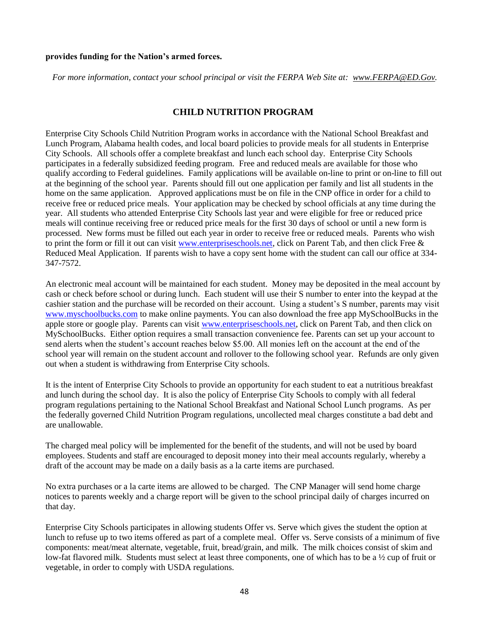#### **provides funding for the Nation's armed forces.**

*For more information, contact your school principal or visit the FERPA Web Site at: [www.FERPA@ED.Gov.](about:blank)* 

#### **CHILD NUTRITION PROGRAM**

Enterprise City Schools Child Nutrition Program works in accordance with the National School Breakfast and Lunch Program, Alabama health codes, and local board policies to provide meals for all students in Enterprise City Schools. All schools offer a complete breakfast and lunch each school day. Enterprise City Schools participates in a federally subsidized feeding program. Free and reduced meals are available for those who qualify according to Federal guidelines. Family applications will be available on-line to print or on-line to fill out at the beginning of the school year. Parents should fill out one application per family and list all students in the home on the same application. Approved applications must be on file in the CNP office in order for a child to receive free or reduced price meals. Your application may be checked by school officials at any time during the year. All students who attended Enterprise City Schools last year and were eligible for free or reduced price meals will continue receiving free or reduced price meals for the first 30 days of school or until a new form is processed. New forms must be filled out each year in order to receive free or reduced meals. Parents who wish to print the form or fill it out can visit [www.enterpriseschools.net,](http://www.enterpriseschools.net/) click on Parent Tab, and then click Free & Reduced Meal Application. If parents wish to have a copy sent home with the student can call our office at 334- 347-7572.

An electronic meal account will be maintained for each student. Money may be deposited in the meal account by cash or check before school or during lunch. Each student will use their S number to enter into the keypad at the cashier station and the purchase will be recorded on their account. Using a student's S number, parents may visit [www.myschoolbucks.com](http://www.myschoolbucks.com/) to make online payments. You can also download the free app MySchoolBucks in the apple store or google play. Parents can visit [www.enterpriseschools.net,](http://www.enterpriseschools.net/) click on Parent Tab, and then click on MySchoolBucks. Either option requires a small transaction convenience fee. Parents can set up your account to send alerts when the student's account reaches below \$5.00. All monies left on the account at the end of the school year will remain on the student account and rollover to the following school year. Refunds are only given out when a student is withdrawing from Enterprise City schools.

It is the intent of Enterprise City Schools to provide an opportunity for each student to eat a nutritious breakfast and lunch during the school day. It is also the policy of Enterprise City Schools to comply with all federal program regulations pertaining to the National School Breakfast and National School Lunch programs. As per the federally governed Child Nutrition Program regulations, uncollected meal charges constitute a bad debt and are unallowable.

The charged meal policy will be implemented for the benefit of the students, and will not be used by board employees. Students and staff are encouraged to deposit money into their meal accounts regularly, whereby a draft of the account may be made on a daily basis as a la carte items are purchased.

No extra purchases or a la carte items are allowed to be charged. The CNP Manager will send home charge notices to parents weekly and a charge report will be given to the school principal daily of charges incurred on that day.

Enterprise City Schools participates in allowing students Offer vs. Serve which gives the student the option at lunch to refuse up to two items offered as part of a complete meal. Offer vs. Serve consists of a minimum of five components: meat/meat alternate, vegetable, fruit, bread/grain, and milk. The milk choices consist of skim and low-fat flavored milk. Students must select at least three components, one of which has to be a ½ cup of fruit or vegetable, in order to comply with USDA regulations.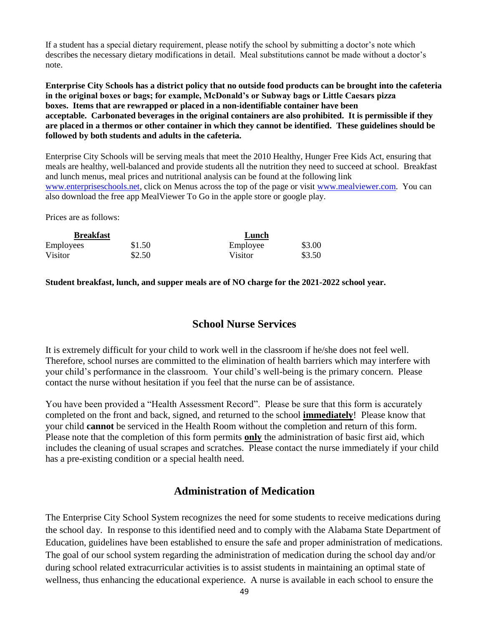If a student has a special dietary requirement, please notify the school by submitting a doctor's note which describes the necessary dietary modifications in detail. Meal substitutions cannot be made without a doctor's note.

**Enterprise City Schools has a district policy that no outside food products can be brought into the cafeteria in the original boxes or bags; for example, McDonald's or Subway bags or Little Caesars pizza boxes. Items that are rewrapped or placed in a non-identifiable container have been acceptable. Carbonated beverages in the original containers are also prohibited. It is permissible if they are placed in a thermos or other container in which they cannot be identified. These guidelines should be followed by both students and adults in the cafeteria.**

Enterprise City Schools will be serving meals that meet the 2010 Healthy, Hunger Free Kids Act, ensuring that meals are healthy, well-balanced and provide students all the nutrition they need to succeed at school. Breakfast and lunch menus, meal prices and nutritional analysis can be found at the following link [www.enterpriseschools.net,](http://www.enterpriseschools.net/) click on Menus across the top of the page or visit [www.mealviewer.com.](http://www.mealviewer.com/) You can also download the free app MealViewer To Go in the apple store or google play.

Prices are as follows:

| <b>Breakfast</b> |        | Lunch    |        |  |
|------------------|--------|----------|--------|--|
| Employees        | \$1.50 | Employee | \$3.00 |  |
| <b>Visitor</b>   | \$2.50 | Visitor  | \$3.50 |  |

**Student breakfast, lunch, and supper meals are of NO charge for the 2021-2022 school year.** 

## **School Nurse Services**

It is extremely difficult for your child to work well in the classroom if he/she does not feel well. Therefore, school nurses are committed to the elimination of health barriers which may interfere with your child's performance in the classroom. Your child's well-being is the primary concern. Please contact the nurse without hesitation if you feel that the nurse can be of assistance.

You have been provided a "Health Assessment Record". Please be sure that this form is accurately completed on the front and back, signed, and returned to the school **immediately**! Please know that your child **cannot** be serviced in the Health Room without the completion and return of this form. Please note that the completion of this form permits **only** the administration of basic first aid, which includes the cleaning of usual scrapes and scratches. Please contact the nurse immediately if your child has a pre-existing condition or a special health need.

## **Administration of Medication**

The Enterprise City School System recognizes the need for some students to receive medications during the school day. In response to this identified need and to comply with the Alabama State Department of Education, guidelines have been established to ensure the safe and proper administration of medications. The goal of our school system regarding the administration of medication during the school day and/or during school related extracurricular activities is to assist students in maintaining an optimal state of wellness, thus enhancing the educational experience. A nurse is available in each school to ensure the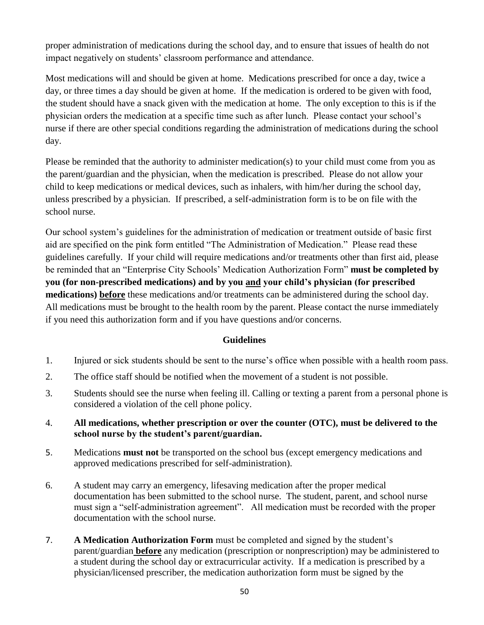proper administration of medications during the school day, and to ensure that issues of health do not impact negatively on students' classroom performance and attendance.

Most medications will and should be given at home. Medications prescribed for once a day, twice a day, or three times a day should be given at home. If the medication is ordered to be given with food, the student should have a snack given with the medication at home. The only exception to this is if the physician orders the medication at a specific time such as after lunch. Please contact your school's nurse if there are other special conditions regarding the administration of medications during the school day.

Please be reminded that the authority to administer medication(s) to your child must come from you as the parent/guardian and the physician, when the medication is prescribed. Please do not allow your child to keep medications or medical devices, such as inhalers, with him/her during the school day, unless prescribed by a physician. If prescribed, a self-administration form is to be on file with the school nurse.

Our school system's guidelines for the administration of medication or treatment outside of basic first aid are specified on the pink form entitled "The Administration of Medication." Please read these guidelines carefully. If your child will require medications and/or treatments other than first aid, please be reminded that an "Enterprise City Schools' Medication Authorization Form" **must be completed by you (for non-prescribed medications) and by you and your child's physician (for prescribed medications) before** these medications and/or treatments can be administered during the school day. All medications must be brought to the health room by the parent. Please contact the nurse immediately if you need this authorization form and if you have questions and/or concerns.

## **Guidelines**

- 1. Injured or sick students should be sent to the nurse's office when possible with a health room pass.
- 2. The office staff should be notified when the movement of a student is not possible.
- 3. Students should see the nurse when feeling ill. Calling or texting a parent from a personal phone is considered a violation of the cell phone policy.
- 4. **All medications, whether prescription or over the counter (OTC), must be delivered to the school nurse by the student's parent/guardian.**
- 5. Medications **must not** be transported on the school bus (except emergency medications and approved medications prescribed for self-administration).
- 6. A student may carry an emergency, lifesaving medication after the proper medical documentation has been submitted to the school nurse. The student, parent, and school nurse must sign a "self-administration agreement". All medication must be recorded with the proper documentation with the school nurse.
- 7. **A Medication Authorization Form** must be completed and signed by the student's parent/guardian **before** any medication (prescription or nonprescription) may be administered to a student during the school day or extracurricular activity. If a medication is prescribed by a physician/licensed prescriber, the medication authorization form must be signed by the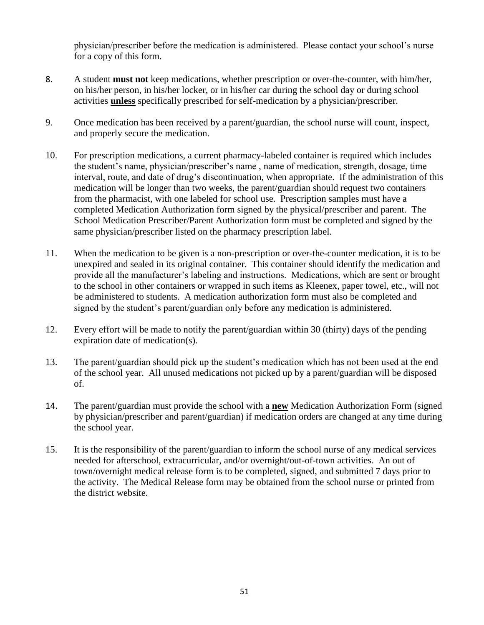physician/prescriber before the medication is administered. Please contact your school's nurse for a copy of this form.

- 8. A student **must not** keep medications, whether prescription or over-the-counter, with him/her, on his/her person, in his/her locker, or in his/her car during the school day or during school activities **unless** specifically prescribed for self-medication by a physician/prescriber.
- 9. Once medication has been received by a parent/guardian, the school nurse will count, inspect, and properly secure the medication.
- 10. For prescription medications, a current pharmacy-labeled container is required which includes the student's name, physician/prescriber's name , name of medication, strength, dosage, time interval, route, and date of drug's discontinuation, when appropriate. If the administration of this medication will be longer than two weeks, the parent/guardian should request two containers from the pharmacist, with one labeled for school use. Prescription samples must have a completed Medication Authorization form signed by the physical/prescriber and parent. The School Medication Prescriber/Parent Authorization form must be completed and signed by the same physician/prescriber listed on the pharmacy prescription label.
- 11. When the medication to be given is a non-prescription or over-the-counter medication, it is to be unexpired and sealed in its original container. This container should identify the medication and provide all the manufacturer's labeling and instructions. Medications, which are sent or brought to the school in other containers or wrapped in such items as Kleenex, paper towel, etc., will not be administered to students. A medication authorization form must also be completed and signed by the student's parent/guardian only before any medication is administered.
- 12. Every effort will be made to notify the parent/guardian within 30 (thirty) days of the pending expiration date of medication(s).
- 13. The parent/guardian should pick up the student's medication which has not been used at the end of the school year. All unused medications not picked up by a parent/guardian will be disposed of.
- 14. The parent/guardian must provide the school with a **new** Medication Authorization Form (signed by physician/prescriber and parent/guardian) if medication orders are changed at any time during the school year.
- 15. It is the responsibility of the parent/guardian to inform the school nurse of any medical services needed for afterschool, extracurricular, and/or overnight/out-of-town activities. An out of town/overnight medical release form is to be completed, signed, and submitted 7 days prior to the activity. The Medical Release form may be obtained from the school nurse or printed from the district website.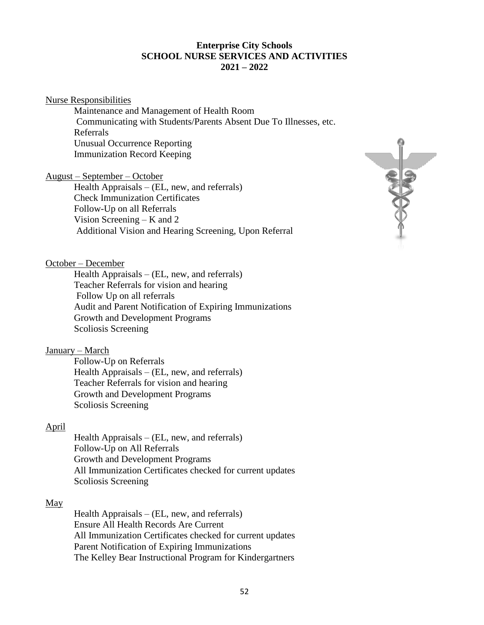#### **Enterprise City Schools SCHOOL NURSE SERVICES AND ACTIVITIES 2021 – 2022**

#### Nurse Responsibilities

Maintenance and Management of Health Room Communicating with Students/Parents Absent Due To Illnesses, etc. Referrals Unusual Occurrence Reporting Immunization Record Keeping

#### August – September – October

Health Appraisals – (EL, new, and referrals) Check Immunization Certificates Follow-Up on all Referrals Vision Screening – K and 2 Additional Vision and Hearing Screening, Upon Referral

#### October – December

Health Appraisals – (EL, new, and referrals) Teacher Referrals for vision and hearing Follow Up on all referrals Audit and Parent Notification of Expiring Immunizations Growth and Development Programs Scoliosis Screening

#### January – March

Follow-Up on Referrals Health Appraisals – (EL, new, and referrals) Teacher Referrals for vision and hearing Growth and Development Programs Scoliosis Screening

#### April

Health Appraisals – (EL, new, and referrals) Follow-Up on All Referrals Growth and Development Programs All Immunization Certificates checked for current updates Scoliosis Screening

#### May

Health Appraisals – (EL, new, and referrals) Ensure All Health Records Are Current All Immunization Certificates checked for current updates Parent Notification of Expiring Immunizations The Kelley Bear Instructional Program for Kindergartners

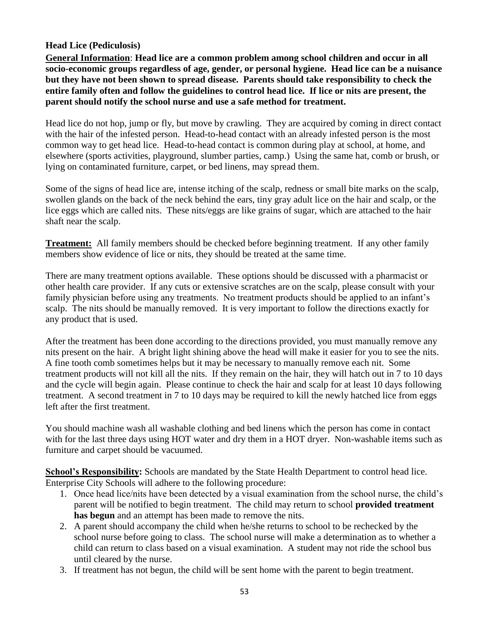## **Head Lice (Pediculosis)**

**General Information**: **Head lice are a common problem among school children and occur in all socio-economic groups regardless of age, gender, or personal hygiene. Head lice can be a nuisance but they have not been shown to spread disease. Parents should take responsibility to check the entire family often and follow the guidelines to control head lice. If lice or nits are present, the parent should notify the school nurse and use a safe method for treatment.**

Head lice do not hop, jump or fly, but move by crawling. They are acquired by coming in direct contact with the hair of the infested person. Head-to-head contact with an already infested person is the most common way to get head lice. Head-to-head contact is common during play at school, at home, and elsewhere (sports activities, playground, slumber parties, camp.) Using the same hat, comb or brush, or lying on contaminated furniture, carpet, or bed linens, may spread them.

Some of the signs of head lice are, intense itching of the scalp, redness or small bite marks on the scalp, swollen glands on the back of the neck behind the ears, tiny gray adult lice on the hair and scalp, or the lice eggs which are called nits. These nits/eggs are like grains of sugar, which are attached to the hair shaft near the scalp.

**Treatment:** All family members should be checked before beginning treatment. If any other family members show evidence of lice or nits, they should be treated at the same time.

There are many treatment options available. These options should be discussed with a pharmacist or other health care provider. If any cuts or extensive scratches are on the scalp, please consult with your family physician before using any treatments. No treatment products should be applied to an infant's scalp. The nits should be manually removed. It is very important to follow the directions exactly for any product that is used.

After the treatment has been done according to the directions provided, you must manually remove any nits present on the hair. A bright light shining above the head will make it easier for you to see the nits. A fine tooth comb sometimes helps but it may be necessary to manually remove each nit. Some treatment products will not kill all the nits. If they remain on the hair, they will hatch out in 7 to 10 days and the cycle will begin again. Please continue to check the hair and scalp for at least 10 days following treatment. A second treatment in 7 to 10 days may be required to kill the newly hatched lice from eggs left after the first treatment.

You should machine wash all washable clothing and bed linens which the person has come in contact with for the last three days using HOT water and dry them in a HOT dryer. Non-washable items such as furniture and carpet should be vacuumed.

**School's Responsibility:** Schools are mandated by the State Health Department to control head lice. Enterprise City Schools will adhere to the following procedure:

- 1. Once head lice/nits have been detected by a visual examination from the school nurse, the child's parent will be notified to begin treatment. The child may return to school **provided treatment has begun** and an attempt has been made to remove the nits.
- 2. A parent should accompany the child when he/she returns to school to be rechecked by the school nurse before going to class. The school nurse will make a determination as to whether a child can return to class based on a visual examination. A student may not ride the school bus until cleared by the nurse.
- 3. If treatment has not begun, the child will be sent home with the parent to begin treatment.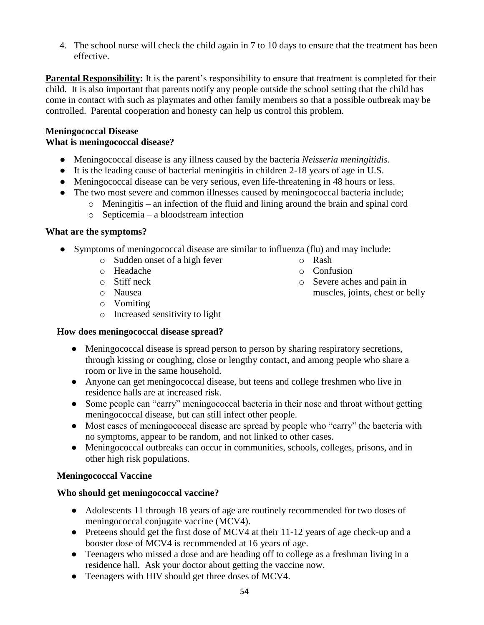4. The school nurse will check the child again in 7 to 10 days to ensure that the treatment has been effective.

**Parental Responsibility:** It is the parent's responsibility to ensure that treatment is completed for their child. It is also important that parents notify any people outside the school setting that the child has come in contact with such as playmates and other family members so that a possible outbreak may be controlled. Parental cooperation and honesty can help us control this problem.

#### **Meningococcal Disease What is meningococcal disease?**

- Meningococcal disease is any illness caused by the bacteria *Neisseria meningitidis*.
- It is the leading cause of bacterial meningitis in children 2-18 years of age in U.S.
- Meningococcal disease can be very serious, even life-threatening in 48 hours or less.
- The two most severe and common illnesses caused by meningococcal bacteria include;
	- o Meningitis an infection of the fluid and lining around the brain and spinal cord
		- o Septicemia a bloodstream infection

### **What are the symptoms?**

- Symptoms of meningococcal disease are similar to influenza (flu) and may include:
	- o Sudden onset of a high fever
	- o Headache
	- o Stiff neck
	- o Nausea
	- o Vomiting
	- o Increased sensitivity to light

## **How does meningococcal disease spread?**

- Meningococcal disease is spread person to person by sharing respiratory secretions, through kissing or coughing, close or lengthy contact, and among people who share a room or live in the same household.
- Anyone can get meningococcal disease, but teens and college freshmen who live in residence halls are at increased risk.
- Some people can "carry" meningococcal bacteria in their nose and throat without getting meningococcal disease, but can still infect other people.
- Most cases of meningococcal disease are spread by people who "carry" the bacteria with no symptoms, appear to be random, and not linked to other cases.
- Meningococcal outbreaks can occur in communities, schools, colleges, prisons, and in other high risk populations.

## **Meningococcal Vaccine**

## **Who should get meningococcal vaccine?**

- Adolescents 11 through 18 years of age are routinely recommended for two doses of meningococcal conjugate vaccine (MCV4).
- Preteens should get the first dose of MCV4 at their 11-12 years of age check-up and a booster dose of MCV4 is recommended at 16 years of age.
- Teenagers who missed a dose and are heading off to college as a freshman living in a residence hall. Ask your doctor about getting the vaccine now.
- Teenagers with HIV should get three doses of MCV4.
- o Rash
- o Confusion
- o Severe aches and pain in muscles, joints, chest or belly